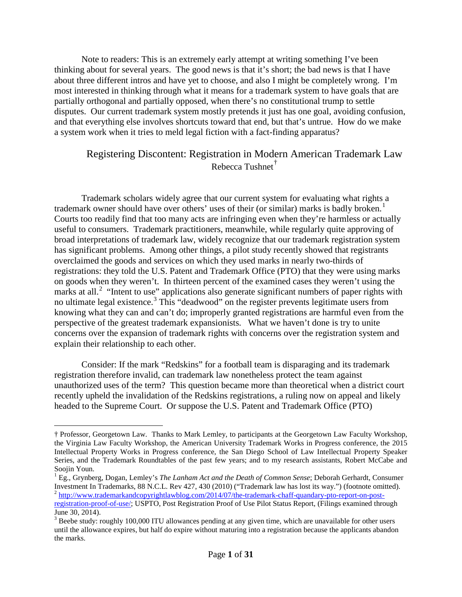Note to readers: This is an extremely early attempt at writing something I've been thinking about for several years. The good news is that it's short; the bad news is that I have about three different intros and have yet to choose, and also I might be completely wrong. I'm most interested in thinking through what it means for a trademark system to have goals that are partially orthogonal and partially opposed, when there's no constitutional trump to settle disputes. Our current trademark system mostly pretends it just has one goal, avoiding confusion, and that everything else involves shortcuts toward that end, but that's untrue. How do we make a system work when it tries to meld legal fiction with a fact-finding apparatus?

# Registering Discontent: Registration in Modern American Trademark Law Rebecca Tushnet<sup>[†](#page-0-0)</sup>

Trademark scholars widely agree that our current system for evaluating what rights a trademark owner should have over others' uses of their (or similar) marks is badly broken.<sup>[1](#page-0-1)</sup> Courts too readily find that too many acts are infringing even when they're harmless or actually useful to consumers. Trademark practitioners, meanwhile, while regularly quite approving of broad interpretations of trademark law, widely recognize that our trademark registration system has significant problems. Among other things, a pilot study recently showed that registrants overclaimed the goods and services on which they used marks in nearly two-thirds of registrations: they told the U.S. Patent and Trademark Office (PTO) that they were using marks on goods when they weren't. In thirteen percent of the examined cases they weren't using the marks at all.<sup>[2](#page-0-2)</sup> "Intent to use" applications also generate significant numbers of paper rights with no ultimate legal existence.<sup>[3](#page-0-3)</sup> This "deadwood" on the register prevents legitimate users from knowing what they can and can't do; improperly granted registrations are harmful even from the perspective of the greatest trademark expansionists. What we haven't done is try to unite concerns over the expansion of trademark rights with concerns over the registration system and explain their relationship to each other.

Consider: If the mark "Redskins" for a football team is disparaging and its trademark registration therefore invalid, can trademark law nonetheless protect the team against unauthorized uses of the term? This question became more than theoretical when a district court recently upheld the invalidation of the Redskins registrations, a ruling now on appeal and likely headed to the Supreme Court. Or suppose the U.S. Patent and Trademark Office (PTO)

<span id="page-0-0"></span> <sup>†</sup> Professor, Georgetown Law. Thanks to Mark Lemley, to participants at the Georgetown Law Faculty Workshop, the Virginia Law Faculty Workshop, the American University Trademark Works in Progress conference, the 2015 Intellectual Property Works in Progress conference, the San Diego School of Law Intellectual Property Speaker Series, and the Trademark Roundtables of the past few years; and to my research assistants, Robert McCabe and

<span id="page-0-1"></span>Soojin Youn.<br><sup>1</sup> Eg., Grynberg, Dogan, Lemley's *The Lanham Act and the Death of Common Sense*; Deborah Gerhardt, Consumer Investment In Trademarks, 88 N.C.L. Rev 427, 430 (2010) ("Trademark law has lost its way.") (footno  $^2$  [http://www.trademarkandcopyrightlawblog.com/2014/07/the-trademark-chaff-quandary-pto-report-on-post-](http://www.trademarkandcopyrightlawblog.com/2014/07/the-trademark-chaff-quandary-pto-report-on-post-registration-proof-of-use/)

<span id="page-0-2"></span>[registration-proof-of-use/;](http://www.trademarkandcopyrightlawblog.com/2014/07/the-trademark-chaff-quandary-pto-report-on-post-registration-proof-of-use/) USPTO, Post Registration Proof of Use Pilot Status Report, (Filings examined through June 30, 2014).

<span id="page-0-3"></span> $3$  Beebe study: roughly 100,000 ITU allowances pending at any given time, which are unavailable for other users until the allowance expires, but half do expire without maturing into a registration because the applicants abandon the marks.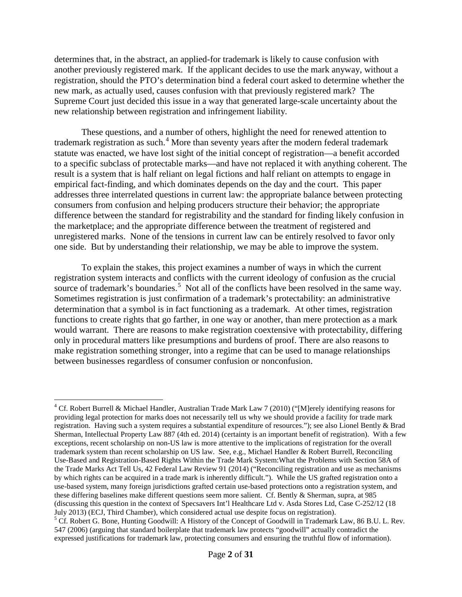determines that, in the abstract, an applied-for trademark is likely to cause confusion with another previously registered mark. If the applicant decides to use the mark anyway, without a registration, should the PTO's determination bind a federal court asked to determine whether the new mark, as actually used, causes confusion with that previously registered mark? The Supreme Court just decided this issue in a way that generated large-scale uncertainty about the new relationship between registration and infringement liability.

These questions, and a number of others, highlight the need for renewed attention to trademark registration as such.<sup>[4](#page-1-0)</sup> More than seventy years after the modern federal trademark statute was enacted, we have lost sight of the initial concept of registration—a benefit accorded to a specific subclass of protectable marks—and have not replaced it with anything coherent. The result is a system that is half reliant on legal fictions and half reliant on attempts to engage in empirical fact-finding, and which dominates depends on the day and the court. This paper addresses three interrelated questions in current law: the appropriate balance between protecting consumers from confusion and helping producers structure their behavior; the appropriate difference between the standard for registrability and the standard for finding likely confusion in the marketplace; and the appropriate difference between the treatment of registered and unregistered marks. None of the tensions in current law can be entirely resolved to favor only one side. But by understanding their relationship, we may be able to improve the system.

To explain the stakes, this project examines a number of ways in which the current registration system interacts and conflicts with the current ideology of confusion as the crucial source of trademark's boundaries.<sup>[5](#page-1-1)</sup> Not all of the conflicts have been resolved in the same way. Sometimes registration is just confirmation of a trademark's protectability: an administrative determination that a symbol is in fact functioning as a trademark. At other times, registration functions to create rights that go farther, in one way or another, than mere protection as a mark would warrant. There are reasons to make registration coextensive with protectability, differing only in procedural matters like presumptions and burdens of proof. There are also reasons to make registration something stronger, into a regime that can be used to manage relationships between businesses regardless of consumer confusion or nonconfusion.

<span id="page-1-0"></span><sup>&</sup>lt;sup>4</sup> Cf. Robert Burrell & Michael Handler, Australian Trade Mark Law 7 (2010) ("[M]erely identifying reasons for providing legal protection for marks does not necessarily tell us why we should provide a facility for trade mark registration. Having such a system requires a substantial expenditure of resources."); see also Lionel Bently & Brad Sherman, Intellectual Property Law 887 (4th ed. 2014) (certainty is an important benefit of registration). With a few exceptions, recent scholarship on non-US law is more attentive to the implications of registration for the overall trademark system than recent scholarship on US law. See, e.g., Michael Handler & Robert Burrell, Reconciling Use-Based and Registration-Based Rights Within the Trade Mark System:What the Problems with Section 58A of the Trade Marks Act Tell Us, 42 Federal Law Review 91 (2014) ("Reconciling registration and use as mechanisms by which rights can be acquired in a trade mark is inherently difficult."). While the US grafted registration onto a use-based system, many foreign jurisdictions grafted certain use-based protections onto a registration system, and these differing baselines make different questions seem more salient. Cf. Bently & Sherman, supra, at 985 (discussing this question in the context of Specsavers Int'l Healthcare Ltd v. Asda Stores Ltd, Case C-252/12 (18 July 2013) (ECJ, Third Chamber), which considered actual use despite focus on registration).

<span id="page-1-1"></span><sup>&</sup>lt;sup>5</sup> Cf. Robert G. Bone, Hunting Goodwill: A History of the Concept of Goodwill in Trademark Law, 86 B.U. L. Rev. 547 (2006) (arguing that standard boilerplate that trademark law protects "goodwill" actually contradict the expressed justifications for trademark law, protecting consumers and ensuring the truthful flow of information).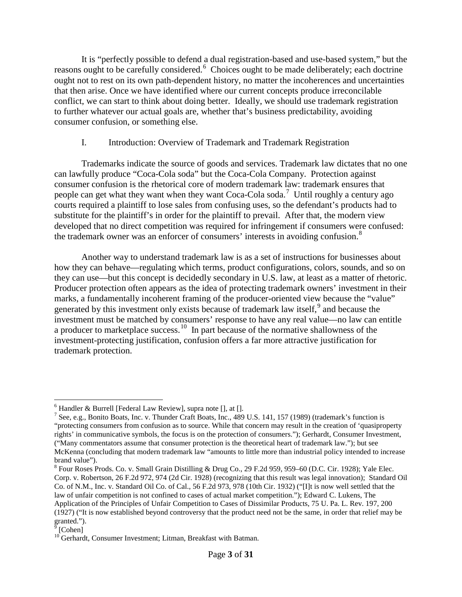It is "perfectly possible to defend a dual registration-based and use-based system," but the reasons ought to be carefully considered.<sup>[6](#page-2-0)</sup> Choices ought to be made deliberately; each doctrine ought not to rest on its own path-dependent history, no matter the incoherences and uncertainties that then arise. Once we have identified where our current concepts produce irreconcilable conflict, we can start to think about doing better. Ideally, we should use trademark registration to further whatever our actual goals are, whether that's business predictability, avoiding consumer confusion, or something else.

# I. Introduction: Overview of Trademark and Trademark Registration

Trademarks indicate the source of goods and services. Trademark law dictates that no one can lawfully produce "Coca-Cola soda" but the Coca-Cola Company. Protection against consumer confusion is the rhetorical core of modern trademark law: trademark ensures that people can get what they want when they want Coca-Cola soda.<sup>[7](#page-2-1)</sup> Until roughly a century ago courts required a plaintiff to lose sales from confusing uses, so the defendant's products had to substitute for the plaintiff's in order for the plaintiff to prevail. After that, the modern view developed that no direct competition was required for infringement if consumers were confused: the trademark owner was an enforcer of consumers' interests in avoiding confusion. [8](#page-2-2)

Another way to understand trademark law is as a set of instructions for businesses about how they can behave—regulating which terms, product configurations, colors, sounds, and so on they can use—but this concept is decidedly secondary in U.S. law, at least as a matter of rhetoric. Producer protection often appears as the idea of protecting trademark owners' investment in their marks, a fundamentally incoherent framing of the producer-oriented view because the "value" generated by this investment only exists because of trademark law itself,<sup>[9](#page-2-3)</sup> and because the investment must be matched by consumers' response to have any real value—no law can entitle a producer to marketplace success.<sup>10</sup> In part because of the normative shallowness of the investment-protecting justification, confusion offers a far more attractive justification for trademark protection.

<span id="page-2-0"></span> $6$  Handler & Burrell [Federal Law Review], supra note [], at [].

<span id="page-2-1"></span><sup>7</sup> See, e.g., Bonito Boats, Inc. v. Thunder Craft Boats, Inc., 489 U.S. 141, 157 (1989) (trademark's function is "protecting consumers from confusion as to source. While that concern may result in the creation of 'quasiproperty rights' in communicative symbols, the focus is on the protection of consumers."); Gerhardt, Consumer Investment, ("Many commentators assume that consumer protection is the theoretical heart of trademark law."); but see McKenna (concluding that modern trademark law "amounts to little more than industrial policy intended to increase brand value").<br><sup>8</sup> Four Roses Prods. Co. v. Small Grain Distilling & Drug Co., 29 F.2d 959, 959–60 (D.C. Cir. 1928); Yale Elec.

<span id="page-2-2"></span>Corp. v. Robertson, 26 F.2d 972, 974 (2d Cir. 1928) (recognizing that this result was legal innovation); Standard Oil Co. of N.M., Inc. v. Standard Oil Co. of Cal., 56 F.2d 973, 978 (10th Cir. 1932) ("[I]t is now well settled that the law of unfair competition is not confined to cases of actual market competition."); Edward C. Lukens, The Application of the Principles of Unfair Competition to Cases of Dissimilar Products, 75 U. Pa. L. Rev. 197, 200 (1927) ("It is now established beyond controversy that the product need not be the same, in order that relief may be granted.").

<span id="page-2-3"></span><sup>[</sup>Cohen]

<span id="page-2-4"></span><sup>&</sup>lt;sup>10</sup> Gerhardt, Consumer Investment; Litman, Breakfast with Batman.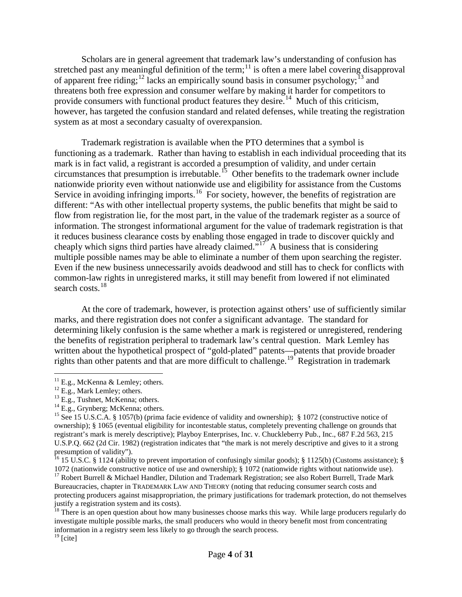Scholars are in general agreement that trademark law's understanding of confusion has stretched past any meaningful definition of the term;<sup>[11](#page-3-0)</sup> is often a mere label covering disapproval of apparent free riding;<sup>[12](#page-3-1)</sup> lacks an empirically sound basis in consumer psychology;<sup>[13](#page-3-2)</sup> and threatens both free expression and consumer welfare by making it harder for competitors to provide consumers with functional product features they desire.<sup>14</sup> Much of this criticism, however, has targeted the confusion standard and related defenses, while treating the registration system as at most a secondary casualty of overexpansion.

Trademark registration is available when the PTO determines that a symbol is functioning as a trademark. Rather than having to establish in each individual proceeding that its mark is in fact valid, a registrant is accorded a presumption of validity, and under certain circumstances that presumption is irrebutable.<sup>15</sup> Other benefits to the trademark owner include nationwide priority even without nationwide use and eligibility for assistance from the Customs Service in avoiding infringing imports.<sup>16</sup> For society, however, the benefits of registration are different: "As with other intellectual property systems, the public benefits that might be said to flow from registration lie, for the most part, in the value of the trademark register as a source of information. The strongest informational argument for the value of trademark registration is that it reduces business clearance costs by enabling those engaged in trade to discover quickly and cheaply which signs third parties have already claimed."<sup>17'</sup> A business that is considering multiple possible names may be able to eliminate a number of them upon searching the register. Even if the new business unnecessarily avoids deadwood and still has to check for conflicts with common-law rights in unregistered marks, it still may benefit from lowered if not eliminated search costs.<sup>[18](#page-3-7)</sup>

At the core of trademark, however, is protection against others' use of sufficiently similar marks, and there registration does not confer a significant advantage. The standard for determining likely confusion is the same whether a mark is registered or unregistered, rendering the benefits of registration peripheral to trademark law's central question. Mark Lemley has written about the hypothetical prospect of "gold-plated" patents—patents that provide broader rights than other patents and that are more difficult to challenge.<sup>19</sup> Registration in trademark

<span id="page-3-2"></span>

<span id="page-3-4"></span><span id="page-3-3"></span>

<span id="page-3-1"></span><span id="page-3-0"></span><sup>&</sup>lt;sup>11</sup> E.g., McKenna & Lemley; others.<br><sup>12</sup> E.g., Mark Lemley; others.<br><sup>13</sup> E.g., Tushnet, McKenna; others.<br><sup>14</sup> E.g., Grynberg; McKenna; others.<br><sup>15</sup> See 15 U.S.C.A. § 1057(b) (prima facie evidence of validity and ownershi ownership); § 1065 (eventual eligibility for incontestable status, completely preventing challenge on grounds that registrant's mark is merely descriptive); Playboy Enterprises, Inc. v. Chuckleberry Pub., Inc., 687 F.2d 563, 215 U.S.P.Q. 662 (2d Cir. 1982) (registration indicates that "the mark is not merely descriptive and gives to it a strong presumption of validity").

<span id="page-3-5"></span><sup>&</sup>lt;sup>16</sup> 15 U.S.C. § 1124 (ability to prevent importation of confusingly similar goods); § 1125(b) (Customs assistance); § 1072 (nationwide constructive notice of use and ownership); § 1072 (nationwide rights without nationwi

<span id="page-3-6"></span><sup>&</sup>lt;sup>17</sup> Robert Burrell & Michael Handler, Dilution and Trademark Registration; see also Robert Burrell, Trade Mark Bureaucracies, chapter in TRADEMARK LAW AND THEORY (noting that reducing consumer search costs and protecting producers against misappropriation, the primary justifications for trademark protection, do not themselves justify a registration system and its costs).

<span id="page-3-7"></span> $\frac{18}{18}$  There is an open question about how many businesses choose marks this way. While large producers regularly do investigate multiple possible marks, the small producers who would in theory benefit most from concentrating information in a registry seem less likely to go through the search process.

<span id="page-3-8"></span> $19$  [cite]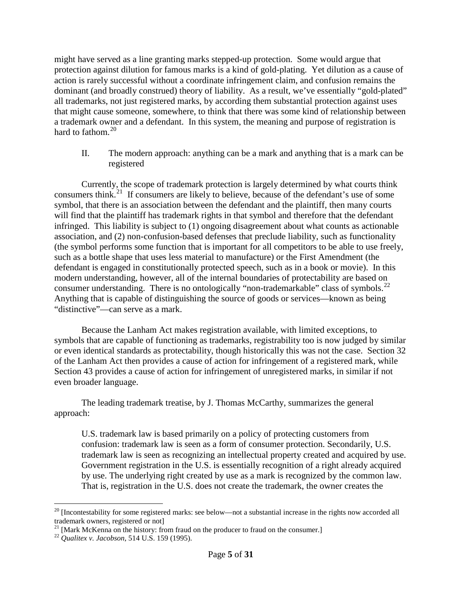might have served as a line granting marks stepped-up protection. Some would argue that protection against dilution for famous marks is a kind of gold-plating. Yet dilution as a cause of action is rarely successful without a coordinate infringement claim, and confusion remains the dominant (and broadly construed) theory of liability. As a result, we've essentially "gold-plated" all trademarks, not just registered marks, by according them substantial protection against uses that might cause someone, somewhere, to think that there was some kind of relationship between a trademark owner and a defendant. In this system, the meaning and purpose of registration is hard to fathom.<sup>[20](#page-4-0)</sup>

II. The modern approach: anything can be a mark and anything that is a mark can be registered

Currently, the scope of trademark protection is largely determined by what courts think consumers think.<sup>21</sup> If consumers are likely to believe, because of the defendant's use of some symbol, that there is an association between the defendant and the plaintiff, then many courts will find that the plaintiff has trademark rights in that symbol and therefore that the defendant infringed. This liability is subject to (1) ongoing disagreement about what counts as actionable association, and (2) non-confusion-based defenses that preclude liability, such as functionality (the symbol performs some function that is important for all competitors to be able to use freely, such as a bottle shape that uses less material to manufacture) or the First Amendment (the defendant is engaged in constitutionally protected speech, such as in a book or movie). In this modern understanding, however, all of the internal boundaries of protectability are based on consumer understanding. There is no ontologically "non-trademarkable" class of symbols.<sup>[22](#page-4-2)</sup> Anything that is capable of distinguishing the source of goods or services—known as being "distinctive"—can serve as a mark.

Because the Lanham Act makes registration available, with limited exceptions, to symbols that are capable of functioning as trademarks, registrability too is now judged by similar or even identical standards as protectability, though historically this was not the case. Section 32 of the Lanham Act then provides a cause of action for infringement of a registered mark, while Section 43 provides a cause of action for infringement of unregistered marks, in similar if not even broader language.

The leading trademark treatise, by J. Thomas McCarthy, summarizes the general approach:

U.S. trademark law is based primarily on a policy of protecting customers from confusion: trademark law is seen as a form of consumer protection. Secondarily, U.S. trademark law is seen as recognizing an intellectual property created and acquired by use. Government registration in the U.S. is essentially recognition of a right already acquired by use. The underlying right created by use as a mark is recognized by the common law. That is, registration in the U.S. does not create the trademark, the owner creates the

<span id="page-4-0"></span> $20$  [Incontestability for some registered marks: see below—not a substantial increase in the rights now accorded all trademark owners, registered or not]

<span id="page-4-1"></span><sup>&</sup>lt;sup>21</sup> [Mark McKenna on the history: from fraud on the producer to fraud on the consumer.]<br><sup>22</sup> *Qualitex v. Jacobson*, 514 U.S. 159 (1995).

<span id="page-4-2"></span>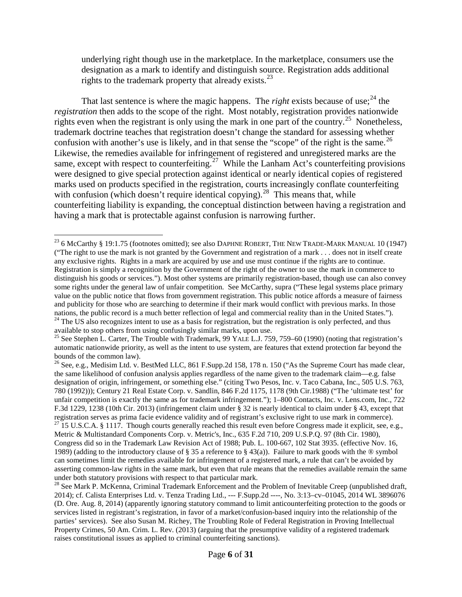underlying right though use in the marketplace. In the marketplace, consumers use the designation as a mark to identify and distinguish source. Registration adds additional rights to the trademark property that already exists.<sup>[23](#page-5-0)</sup>

That last sentence is where the magic happens. The *right* exists because of use:  $24$  the *registration* then adds to the scope of the right. Most notably, registration provides nationwide rights even when the registrant is only using the mark in one part of the country.<sup>25</sup> Nonetheless, trademark doctrine teaches that registration doesn't change the standard for assessing whether confusion with another's use is likely, and in that sense the "scope" of the right is the same. $^{26}$  $^{26}$  $^{26}$ Likewise, the remedies available for infringement of registered and unregistered marks are the same, except with respect to counterfeiting.<sup>[27](#page-5-4)</sup> While the Lanham Act's counterfeiting provisions were designed to give special protection against identical or nearly identical copies of registered marks used on products specified in the registration, courts increasingly conflate counterfeiting with confusion (which doesn't require identical copying).<sup>28</sup> This means that, while counterfeiting liability is expanding, the conceptual distinction between having a registration and having a mark that is protectable against confusion is narrowing further.

<span id="page-5-0"></span><sup>&</sup>lt;sup>23</sup> 6 McCarthy § 19:1.75 (footnotes omitted); see also DAPHNE ROBERT, THE NEW TRADE-MARK MANUAL 10 (1947) ("The right to use the mark is not granted by the Government and registration of a mark . . . does not in itself create any exclusive rights. Rights in a mark are acquired by use and use must continue if the rights are to continue. Registration is simply a recognition by the Government of the right of the owner to use the mark in commerce to distinguish his goods or services."). Most other systems are primarily registration-based, though use can also convey some rights under the general law of unfair competition. See McCarthy, supra ("These legal systems place primary value on the public notice that flows from government registration. This public notice affords a measure of fairness and publicity for those who are searching to determine if their mark would conflict with previous marks. In those nations, the public record is a much better reflection of legal and commercial reality than in the United States.").<br><sup>24</sup> The US also recognizes intent to use as a basis for registration, but the registration is only perfe

<span id="page-5-2"></span><span id="page-5-1"></span>available to stop others from using confusingly similar marks, upon use.<br><sup>25</sup> See Stephen L. Carter, The Trouble with Trademark, 99 YALE L.J. 759, 759–60 (1990) (noting that registration's automatic nationwide priority, as well as the intent to use system, are features that extend protection far beyond the bounds of the common law).

<span id="page-5-4"></span><span id="page-5-3"></span><sup>&</sup>lt;sup>26</sup> See, e.g., Medisim Ltd. v. BestMed LLC, 861 F.Supp.2d 158, 178 n. 150 ("As the Supreme Court has made clear, the same likelihood of confusion analysis applies regardless of the name given to the trademark claim—e.g. false designation of origin, infringement, or something else." (citing Two Pesos, Inc. v. Taco Cabana, Inc., 505 U.S. 763, 780 (1992))); Century 21 Real Estate Corp. v. Sandlin, 846 F.2d 1175, 1178 (9th Cir.1988) ("The 'ultimate test' for unfair competition is exactly the same as for trademark infringement."); 1–800 Contacts, Inc. v. Lens.com, Inc., 722 F.3d 1229, 1238 (10th Cir. 2013) (infringement claim under § 32 is nearly identical to claim under § 43, except that registration serves as prima facie evidence validity and of registrant's exclusive right to use mark in c  $^{27}$  15 U.S.C.A. § 1117. Though courts generally reached this result even before Congress made it explicit, see, e.g., Metric & Multistandard Components Corp. v. Metric's, Inc., 635 F.2d 710, 209 U.S.P.Q. 97 (8th Cir. 1980), Congress did so in the Trademark Law Revision Act of 1988; Pub. L. 100-667, 102 Stat 3935. (effective Nov. 16, 1989) (adding to the introductory clause of § 35 a reference to § 43(a)). Failure to mark goods with the  $\circledR$  symbol can sometimes limit the remedies available for infringement of a registered mark, a rule that can't be avoided by asserting common-law rights in the same mark, but even that rule means that the remedies available remain the same under both statutory provisions with respect to that particular mark.

<span id="page-5-5"></span><sup>&</sup>lt;sup>28</sup> See Mark P. McKenna, Criminal Trademark Enforcement and the Problem of Inevitable Creep (unpublished draft, 2014); cf. Calista Enterprises Ltd. v. Tenza Trading Ltd., --- F.Supp.2d ----, No. 3:13–cv–01045, 2014 WL 3896076 (D. Ore. Aug. 8, 2014) (apparently ignoring statutory command to limit anticounterfeiting protection to the goods or services listed in registrant's registration, in favor of a market/confusion-based inquiry into the relationship of the parties' services). See also Susan M. Richey, The Troubling Role of Federal Registration in Proving Intellectual Property Crimes, 50 Am. Crim. L. Rev. (2013) (arguing that the presumptive validity of a registered trademark raises constitutional issues as applied to criminal counterfeiting sanctions).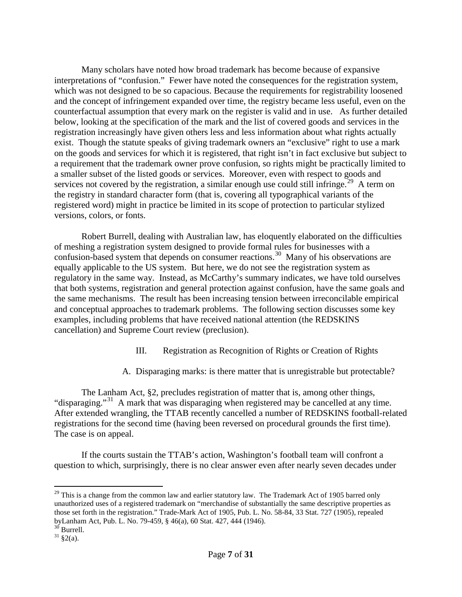Many scholars have noted how broad trademark has become because of expansive interpretations of "confusion." Fewer have noted the consequences for the registration system, which was not designed to be so capacious. Because the requirements for registrability loosened and the concept of infringement expanded over time, the registry became less useful, even on the counterfactual assumption that every mark on the register is valid and in use. As further detailed below, looking at the specification of the mark and the list of covered goods and services in the registration increasingly have given others less and less information about what rights actually exist. Though the statute speaks of giving trademark owners an "exclusive" right to use a mark on the goods and services for which it is registered, that right isn't in fact exclusive but subject to a requirement that the trademark owner prove confusion, so rights might be practically limited to a smaller subset of the listed goods or services. Moreover, even with respect to goods and services not covered by the registration, a similar enough use could still infringe.<sup>29</sup> A term on the registry in standard character form (that is, covering all typographical variants of the registered word) might in practice be limited in its scope of protection to particular stylized versions, colors, or fonts.

Robert Burrell, dealing with Australian law, has eloquently elaborated on the difficulties of meshing a registration system designed to provide formal rules for businesses with a confusion-based system that depends on consumer reactions.<sup>30</sup> Many of his observations are equally applicable to the US system. But here, we do not see the registration system as regulatory in the same way. Instead, as McCarthy's summary indicates, we have told ourselves that both systems, registration and general protection against confusion, have the same goals and the same mechanisms. The result has been increasing tension between irreconcilable empirical and conceptual approaches to trademark problems. The following section discusses some key examples, including problems that have received national attention (the REDSKINS cancellation) and Supreme Court review (preclusion).

- III. Registration as Recognition of Rights or Creation of Rights
- A. Disparaging marks: is there matter that is unregistrable but protectable?

The Lanham Act, §2, precludes registration of matter that is, among other things, "disparaging."<sup>[31](#page-6-2)</sup> A mark that was disparaging when registered may be cancelled at any time. After extended wrangling, the TTAB recently cancelled a number of REDSKINS football-related registrations for the second time (having been reversed on procedural grounds the first time). The case is on appeal.

If the courts sustain the TTAB's action, Washington's football team will confront a question to which, surprisingly, there is no clear answer even after nearly seven decades under

<span id="page-6-0"></span> $^{29}$  This is a change from the common law and earlier statutory law. The Trademark Act of 1905 barred only unauthorized uses of a registered trademark on "merchandise of substantially the same descriptive properties as those set forth in the registration." Trade-Mark Act of 1905, Pub. L. No. 58-84, 33 Stat. 727 (1905), repealed byLanham Act, Pub. L. No. 79-459, § 46(a), 60 Stat. 427, 444 (1946).<br><sup>30</sup> Burrell.<br><sup>31</sup> §2(a).

<span id="page-6-2"></span><span id="page-6-1"></span>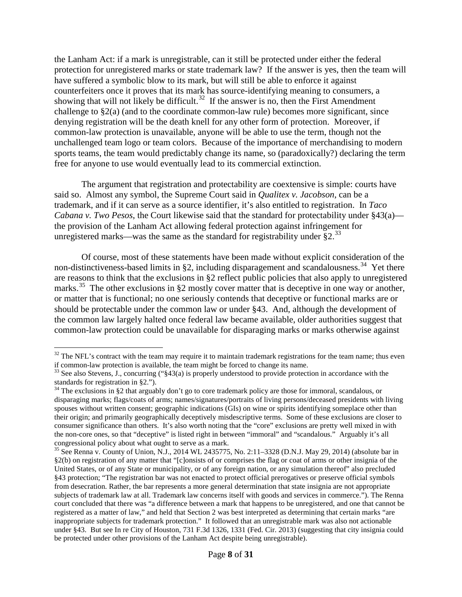the Lanham Act: if a mark is unregistrable, can it still be protected under either the federal protection for unregistered marks or state trademark law? If the answer is yes, then the team will have suffered a symbolic blow to its mark, but will still be able to enforce it against counterfeiters once it proves that its mark has source-identifying meaning to consumers, a showing that will not likely be difficult.<sup>32</sup> If the answer is no, then the First Amendment challenge to §2(a) (and to the coordinate common-law rule) becomes more significant, since denying registration will be the death knell for any other form of protection. Moreover, if common-law protection is unavailable, anyone will be able to use the term, though not the unchallenged team logo or team colors. Because of the importance of merchandising to modern sports teams, the team would predictably change its name, so (paradoxically?) declaring the term free for anyone to use would eventually lead to its commercial extinction.

The argument that registration and protectability are coextensive is simple: courts have said so. Almost any symbol, the Supreme Court said in *Qualitex v. Jacobson*, can be a trademark, and if it can serve as a source identifier, it's also entitled to registration. In *Taco Cabana v. Two Pesos*, the Court likewise said that the standard for protectability under §43(a) the provision of the Lanham Act allowing federal protection against infringement for unregistered marks—was the same as the standard for registrability under  $\S 2$ .<sup>[33](#page-7-1)</sup>

Of course, most of these statements have been made without explicit consideration of the non-distinctiveness-based limits in §2, including disparagement and scandalousness.<sup>[34](#page-7-2)</sup> Yet there are reasons to think that the exclusions in §2 reflect public policies that also apply to unregistered marks.<sup>[35](#page-7-3)</sup> The other exclusions in §2 mostly cover matter that is deceptive in one way or another, or matter that is functional; no one seriously contends that deceptive or functional marks are or should be protectable under the common law or under §43. And, although the development of the common law largely halted once federal law became available, older authorities suggest that common-law protection could be unavailable for disparaging marks or marks otherwise against

<span id="page-7-0"></span> $32$  The NFL's contract with the team may require it to maintain trademark registrations for the team name; thus even if common-law protection is available, the team might be forced to change its name.

<span id="page-7-1"></span><sup>&</sup>lt;sup>33</sup> See also Stevens, J., concurring ("§43(a) is properly understood to provide protection in accordance with the standards for registration in §2.").

<span id="page-7-2"></span><sup>&</sup>lt;sup>34</sup> The exclusions in §2 that arguably don't go to core trademark policy are those for immoral, scandalous, or disparaging marks; flags/coats of arms; names/signatures/portraits of living persons/deceased presidents with living spouses without written consent; geographic indications (GIs) on wine or spirits identifying someplace other than their origin; and primarily geographically deceptively misdescriptive terms. Some of these exclusions are closer to consumer significance than others. It's also worth noting that the "core" exclusions are pretty well mixed in with the non-core ones, so that "deceptive" is listed right in between "immoral" and "scandalous." Arguably it's all congressional policy about what ought to serve as a mark.<br><sup>35</sup> See Renna v. County of Union, N.J., 2014 WL 2435775, No. 2:11–3328 (D.N.J. May 29, 2014) (absolute bar in

<span id="page-7-3"></span><sup>§2(</sup>b) on registration of any matter that "[c]onsists of or comprises the flag or coat of arms or other insignia of the United States, or of any State or municipality, or of any foreign nation, or any simulation thereof" also precluded §43 protection; "The registration bar was not enacted to protect official prerogatives or preserve official symbols from desecration. Rather, the bar represents a more general determination that state insignia are not appropriate subjects of trademark law at all. Trademark law concerns itself with goods and services in commerce."). The Renna court concluded that there was "a difference between a mark that happens to be unregistered, and one that cannot be registered as a matter of law," and held that Section 2 was best interpreted as determining that certain marks "are inappropriate subjects for trademark protection." It followed that an unregistrable mark was also not actionable under §43. But see In re City of Houston, 731 F.3d 1326, 1331 (Fed. Cir. 2013) (suggesting that city insignia could be protected under other provisions of the Lanham Act despite being unregistrable).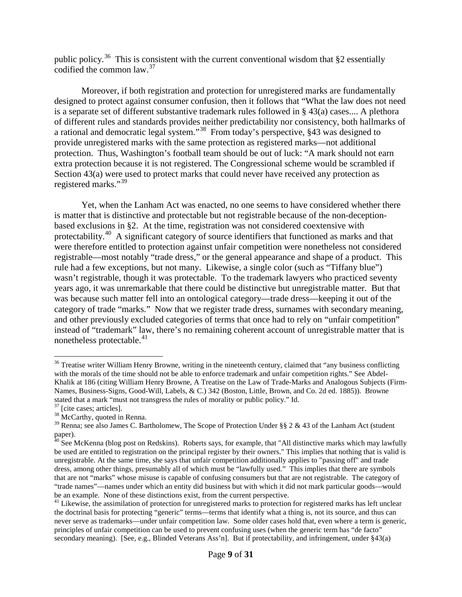public policy.<sup>36</sup> This is consistent with the current conventional wisdom that  $\S$ 2 essentially codified the common law.  $37$ 

Moreover, if both registration and protection for unregistered marks are fundamentally designed to protect against consumer confusion, then it follows that "What the law does not need is a separate set of different substantive trademark rules followed in § 43(a) cases.... A plethora of different rules and standards provides neither predictability nor consistency, both hallmarks of a rational and democratic legal system."[38](#page-8-2) From today's perspective, §43 was designed to provide unregistered marks with the same protection as registered marks—not additional protection. Thus, Washington's football team should be out of luck: "A mark should not earn extra protection because it is not registered. The Congressional scheme would be scrambled if Section 43(a) were used to protect marks that could never have received any protection as registered marks."[39](#page-8-3)

Yet, when the Lanham Act was enacted, no one seems to have considered whether there is matter that is distinctive and protectable but not registrable because of the non-deceptionbased exclusions in §2. At the time, registration was not considered coextensive with protectability.<sup>40</sup> A significant category of source identifiers that functioned as marks and that were therefore entitled to protection against unfair competition were nonetheless not considered registrable—most notably "trade dress," or the general appearance and shape of a product. This rule had a few exceptions, but not many. Likewise, a single color (such as "Tiffany blue") wasn't registrable, though it was protectable. To the trademark lawyers who practiced seventy years ago, it was unremarkable that there could be distinctive but unregistrable matter. But that was because such matter fell into an ontological category—trade dress—keeping it out of the category of trade "marks." Now that we register trade dress, surnames with secondary meaning, and other previously excluded categories of terms that once had to rely on "unfair competition" instead of "trademark" law, there's no remaining coherent account of unregistrable matter that is nonetheless protectable.<sup>[41](#page-8-5)</sup>

<span id="page-8-0"></span><sup>&</sup>lt;sup>36</sup> Treatise writer William Henry Browne, writing in the nineteenth century, claimed that "any business conflicting with the morals of the time should not be able to enforce trademark and unfair competition rights." See Abdel-Khalik at 186 (citing William Henry Browne, A Treatise on the Law of Trade-Marks and Analogous Subjects (Firm-Names, Business-Signs, Good-Will, Labels, & C.) 342 (Boston, Little, Brown, and Co. 2d ed. 1885)). Browne stated that a mark "must not transgress the rules of morality or public policy." Id.  $\frac{37}{10}$  [cite cases; articles].  $\frac{38}{100}$  McCarthy, quoted in Renna.

<span id="page-8-1"></span>

<span id="page-8-3"></span><span id="page-8-2"></span><sup>&</sup>lt;sup>39</sup> Renna: see also James C. Bartholomew, The Scope of Protection Under §§ 2 & 43 of the Lanham Act (student paper).

<span id="page-8-4"></span> $^{40}$  See McKenna (blog post on Redskins). Roberts says, for example, that "All distinctive marks which may lawfully be used are entitled to registration on the principal register by their owners." This implies that nothing that is valid is unregistrable. At the same time, she says that unfair competition additionally applies to "passing off" and trade dress, among other things, presumably all of which must be "lawfully used." This implies that there are symbols that are not "marks" whose misuse is capable of confusing consumers but that are not registrable. The category of "trade names"—names under which an entity did business but with which it did not mark particular goods—would be an example. None of these distinctions exist, from the current perspective.

<span id="page-8-5"></span><sup>&</sup>lt;sup>41</sup> Likewise, the assimilation of protection for unregistered marks to protection for registered marks has left unclear the doctrinal basis for protecting "generic" terms—terms that identify what a thing is, not its source, and thus can never serve as trademarks—under unfair competition law. Some older cases hold that, even where a term is generic, principles of unfair competition can be used to prevent confusing uses (when the generic term has "de facto" secondary meaning). [See, e.g., Blinded Veterans Ass'n]. But if protectability, and infringement, under §43(a)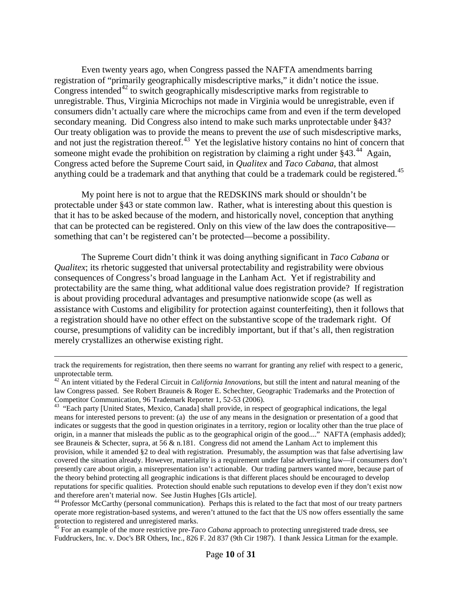Even twenty years ago, when Congress passed the NAFTA amendments barring registration of "primarily geographically misdescriptive marks," it didn't notice the issue. Congress intended<sup>[42](#page-9-0)</sup> to switch geographically misdescriptive marks from registrable to unregistrable. Thus, Virginia Microchips not made in Virginia would be unregistrable, even if consumers didn't actually care where the microchips came from and even if the term developed secondary meaning. Did Congress also intend to make such marks unprotectable under §43? Our treaty obligation was to provide the means to prevent the *use* of such misdescriptive marks, and not just the registration thereof.<sup>43</sup> Yet the legislative history contains no hint of concern that someone might evade the prohibition on registration by claiming a right under §43.<sup>[44](#page-9-2)</sup> Again, Congress acted before the Supreme Court said, in *Qualitex* and *Taco Cabana*, that almost anything could be a trademark and that anything that could be a trademark could be registered.<sup>[45](#page-9-3)</sup>

My point here is not to argue that the REDSKINS mark should or shouldn't be protectable under §43 or state common law. Rather, what is interesting about this question is that it has to be asked because of the modern, and historically novel, conception that anything that can be protected can be registered. Only on this view of the law does the contrapositive something that can't be registered can't be protected—become a possibility.

The Supreme Court didn't think it was doing anything significant in *Taco Cabana* or *Qualitex*; its rhetoric suggested that universal protectability and registrability were obvious consequences of Congress's broad language in the Lanham Act. Yet if registrability and protectability are the same thing, what additional value does registration provide? If registration is about providing procedural advantages and presumptive nationwide scope (as well as assistance with Customs and eligibility for protection against counterfeiting), then it follows that a registration should have no other effect on the substantive scope of the trademark right. Of course, presumptions of validity can be incredibly important, but if that's all, then registration merely crystallizes an otherwise existing right.

 $\overline{a}$ 

track the requirements for registration, then there seems no warrant for granting any relief with respect to a generic, unprotectable term.

<span id="page-9-0"></span><sup>42</sup> An intent vitiated by the Federal Circuit in *California Innovations*, but still the intent and natural meaning of the law Congress passed. See Robert Brauneis & Roger E. Schechter, Geographic Trademarks and the Protection of Competitor Communication, 96 Trademark Reporter 1, 52-53 (2006).

<span id="page-9-1"></span><sup>&</sup>lt;sup>43</sup> "Each party [United States, Mexico, Canada] shall provide, in respect of geographical indications, the legal means for interested persons to prevent: (a) the *use* of any means in the designation or presentation of a good that indicates or suggests that the good in question originates in a territory, region or locality other than the true place of origin, in a manner that misleads the public as to the geographical origin of the good...." NAFTA (emphasis added); see Brauneis & Schecter, supra, at 56 & n.181. Congress did not amend the Lanham Act to implement this provision, while it amended §2 to deal with registration. Presumably, the assumption was that false advertising law covered the situation already. However, materiality is a requirement under false advertising law—if consumers don't presently care about origin, a misrepresentation isn't actionable. Our trading partners wanted more, because part of the theory behind protecting all geographic indications is that different places should be encouraged to develop reputations for specific qualities. Protection should enable such reputations to develop even if they don't exist now and therefore aren't material now. See Justin Hughes [GIs article].

<span id="page-9-2"></span><sup>&</sup>lt;sup>44</sup> Professor McCarthy (personal communication). Perhaps this is related to the fact that most of our treaty partners operate more registration-based systems, and weren't attuned to the fact that the US now offers essentially the same protection to registered and unregistered marks.

<span id="page-9-3"></span><sup>&</sup>lt;sup>45</sup> For an example of the more restrictive pre-*Taco Cabana* approach to protecting unregistered trade dress, see Fuddruckers, Inc. v. Doc's BR Others, Inc., 826 F. 2d 837 (9th Cir 1987). I thank Jessica Litman for the example.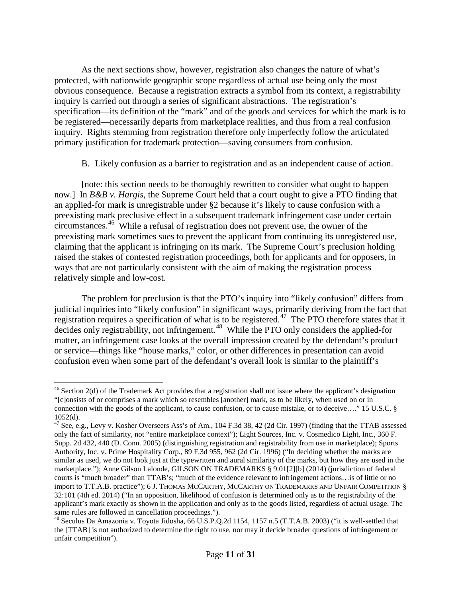As the next sections show, however, registration also changes the nature of what's protected, with nationwide geographic scope regardless of actual use being only the most obvious consequence. Because a registration extracts a symbol from its context, a registrability inquiry is carried out through a series of significant abstractions. The registration's specification—its definition of the "mark" and of the goods and services for which the mark is to be registered—necessarily departs from marketplace realities, and thus from a real confusion inquiry. Rights stemming from registration therefore only imperfectly follow the articulated primary justification for trademark protection—saving consumers from confusion.

#### B. Likely confusion as a barrier to registration and as an independent cause of action.

[note: this section needs to be thoroughly rewritten to consider what ought to happen now.] In *B&B v. Hargis*, the Supreme Court held that a court ought to give a PTO finding that an applied-for mark is unregistrable under §2 because it's likely to cause confusion with a preexisting mark preclusive effect in a subsequent trademark infringement case under certain circumstances. [46](#page-10-0) While a refusal of registration does not prevent use, the owner of the preexisting mark sometimes sues to prevent the applicant from continuing its unregistered use, claiming that the applicant is infringing on its mark. The Supreme Court's preclusion holding raised the stakes of contested registration proceedings, both for applicants and for opposers, in ways that are not particularly consistent with the aim of making the registration process relatively simple and low-cost.

The problem for preclusion is that the PTO's inquiry into "likely confusion" differs from judicial inquiries into "likely confusion" in significant ways, primarily deriving from the fact that registration requires a specification of what is to be registered.<sup>47</sup> The PTO therefore states that it decides only registrability, not infringement.<sup>48</sup> While the PTO only considers the applied-for matter, an infringement case looks at the overall impression created by the defendant's product or service—things like "house marks," color, or other differences in presentation can avoid confusion even when some part of the defendant's overall look is similar to the plaintiff's

<span id="page-10-0"></span> $46$  Section 2(d) of the Trademark Act provides that a registration shall not issue where the applicant's designation "[c]onsists of or comprises a mark which so resembles [another] mark, as to be likely, when used on or in connection with the goods of the applicant, to cause confusion, or to cause mistake, or to deceive...." 15 U.S.C. § 1052(d).

<span id="page-10-1"></span> $47$  See, e.g., Levy v. Kosher Overseers Ass's of Am., 104 F.3d 38, 42 (2d Cir. 1997) (finding that the TTAB assessed only the fact of similarity, not "entire marketplace context"); Light Sources, Inc. v. Cosmedico Light, Inc., 360 F. Supp. 2d 432, 440 (D. Conn. 2005) (distinguishing registration and registrability from use in marketplace); Sports Authority, Inc. v. Prime Hospitality Corp., 89 F.3d 955, 962 (2d Cir. 1996) ("In deciding whether the marks are similar as used, we do not look just at the typewritten and aural similarity of the marks, but how they are used in the marketplace."); Anne Gilson Lalonde, GILSON ON TRADEMARKS § 9.01[2][b] (2014) (jurisdiction of federal courts is "much broader" than TTAB's; "much of the evidence relevant to infringement actions…is of little or no import to T.T.A.B. practice"); 6 J. THOMAS MCCARTHY, MCCARTHY ON TRADEMARKS AND UNFAIR COMPETITION § 32:101 (4th ed. 2014) ("In an opposition, likelihood of confusion is determined only as to the registrability of the applicant's mark exactly as shown in the application and only as to the goods listed, regardless of actual usage. The same rules are followed in cancellation proceedings.").<br><sup>48</sup> Seculus Da Amazonia v. Toyota Jidosha, 66 U.S.P.Q.2d 1154, 1157 n.5 (T.T.A.B. 2003) ("it is well-settled that

<span id="page-10-2"></span>the [TTAB] is not authorized to determine the right to use, nor may it decide broader questions of infringement or unfair competition").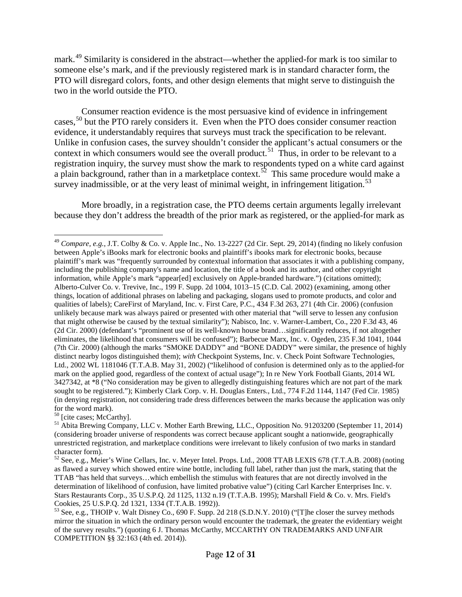mark.[49](#page-11-0) Similarity is considered in the abstract—whether the applied-for mark is too similar to someone else's mark, and if the previously registered mark is in standard character form, the PTO will disregard colors, fonts, and other design elements that might serve to distinguish the two in the world outside the PTO.

Consumer reaction evidence is the most persuasive kind of evidence in infringement cases,<sup>[50](#page-11-1)</sup> but the PTO rarely considers it. Even when the PTO does consider consumer reaction evidence, it understandably requires that surveys must track the specification to be relevant. Unlike in confusion cases, the survey shouldn't consider the applicant's actual consumers or the context in which consumers would see the overall product.<sup>[51](#page-11-2)</sup> Thus, in order to be relevant to a registration inquiry, the survey must show the mark to respondents typed on a white card against a plain background, rather than in a marketplace context.<sup>52</sup> This same procedure would make a survey inadmissible, or at the very least of minimal weight, in infringement litigation.<sup>[53](#page-11-4)</sup>

More broadly, in a registration case, the PTO deems certain arguments legally irrelevant because they don't address the breadth of the prior mark as registered, or the applied-for mark as

<span id="page-11-2"></span>

<span id="page-11-0"></span> <sup>49</sup> *Compare, e.g.*, J.T. Colby & Co. v. Apple Inc., No. 13-2227 (2d Cir. Sept. 29, 2014) (finding no likely confusion between Apple's iBooks mark for electronic books and plaintiff's ibooks mark for electronic books, because plaintiff's mark was "frequently surrounded by contextual information that associates it with a publishing company, including the publishing company's name and location, the title of a book and its author, and other copyright information, while Apple's mark "appear[ed] exclusively on Apple-branded hardware.") (citations omitted); Alberto-Culver Co. v. Trevive, Inc., 199 F. Supp. 2d 1004, 1013–15 (C.D. Cal. 2002) (examining, among other things, location of additional phrases on labeling and packaging, slogans used to promote products, and color and qualities of labels); CareFirst of Maryland, Inc. v. First Care, P.C., 434 F.3d 263, 271 (4th Cir. 2006) (confusion unlikely because mark was always paired or presented with other material that "will serve to lessen any confusion that might otherwise be caused by the textual similarity"); Nabisco, Inc. v. Warner-Lambert, Co., 220 F.3d 43, 46 (2d Cir. 2000) (defendant's "prominent use of its well-known house brand…significantly reduces, if not altogether eliminates, the likelihood that consumers will be confused"); Barbecue Marx, Inc. v. Ogeden, 235 F.3d 1041, 1044 (7th Cir. 2000) (although the marks "SMOKE DADDY" and "BONE DADDY" were similar, the presence of highly distinct nearby logos distinguished them); *with* Checkpoint Systems, Inc. v. Check Point Software Technologies, Ltd., 2002 WL 1181046 (T.T.A.B. May 31, 2002) ("likelihood of confusion is determined only as to the applied-for mark on the applied good, regardless of the context of actual usage"); In re New York Football Giants, 2014 WL 3427342, at \*8 ("No consideration may be given to allegedly distinguishing features which are not part of the mark sought to be registered."); Kimberly Clark Corp. v. H. Douglas Enters., Ltd., 774 F.2d 1144, 1147 (Fed Cir. 1985) (in denying registration, not considering trade dress differences between the marks because the application was only

<span id="page-11-1"></span>for the word mark).<br><sup>50</sup> [cite cases; McCarthy].<br><sup>51</sup> Abita Brewing Company, LLC v. Mother Earth Brewing, LLC., Opposition No. 91203200 (September 11, 2014) (considering broader universe of respondents was correct because applicant sought a nationwide, geographically unrestricted registration, and marketplace conditions were irrelevant to likely confusion of two marks in standard

<span id="page-11-3"></span> $52$  See, e.g., Meier's Wine Cellars, Inc. v. Meyer Intel. Props. Ltd., 2008 TTAB LEXIS 678 (T.T.A.B. 2008) (noting as flawed a survey which showed entire wine bottle, including full label, rather than just the mark, stating that the TTAB "has held that surveys…which embellish the stimulus with features that are not directly involved in the determination of likelihood of confusion, have limited probative value") (citing Carl Karcher Enterprises Inc. v. Stars Restaurants Corp., 35 U.S.P.Q. 2d 1125, 1132 n.19 (T.T.A.B. 1995); Marshall Field & Co. v. Mrs. Field's

<span id="page-11-4"></span> $^{53}$  See, e.g., THOIP v. Walt Disney Co., 690 F. Supp. 2d 218 (S.D.N.Y. 2010) ("[T]he closer the survey methods mirror the situation in which the ordinary person would encounter the trademark, the greater the evidentiary weight of the survey results.") (quoting 6 J. Thomas McCarthy, MCCARTHY ON TRADEMARKS AND UNFAIR COMPETITION §§ 32:163 (4th ed. 2014)).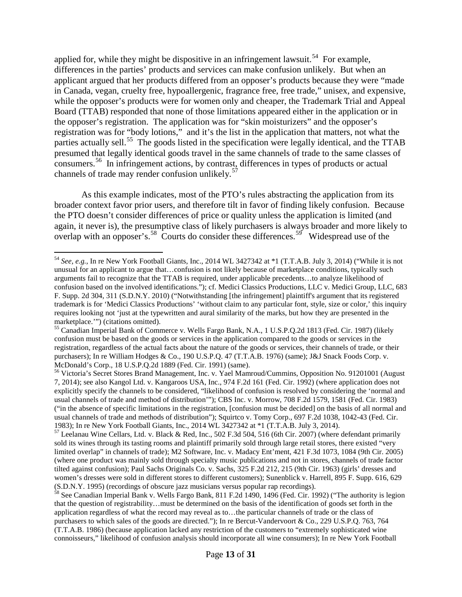applied for, while they might be dispositive in an infringement lawsuit.<sup>54</sup> For example, differences in the parties' products and services can make confusion unlikely. But when an applicant argued that her products differed from an opposer's products because they were "made in Canada, vegan, cruelty free, hypoallergenic, fragrance free, free trade," unisex, and expensive, while the opposer's products were for women only and cheaper, the Trademark Trial and Appeal Board (TTAB) responded that none of those limitations appeared either in the application or in the opposer's registration. The application was for "skin moisturizers" and the opposer's registration was for "body lotions," and it's the list in the application that matters, not what the parties actually sell.<sup>[55](#page-12-1)</sup> The goods listed in the specification were legally identical, and the TTAB presumed that legally identical goods travel in the same channels of trade to the same classes of consumers.[56](#page-12-2) In infringement actions, by contrast, differences in types of products or actual channels of trade may render confusion unlikely.<sup>57</sup>

<span id="page-12-5"></span>As this example indicates, most of the PTO's rules abstracting the application from its broader context favor prior users, and therefore tilt in favor of finding likely confusion. Because the PTO doesn't consider differences of price or quality unless the application is limited (and again, it never is), the presumptive class of likely purchasers is always broader and more likely to overlap with an opposer's.<sup>58</sup> Courts do consider these differences.<sup>[59](#page-12-5)</sup> Widespread use of the

<span id="page-12-0"></span> <sup>54</sup> *See, e.g.*, In re New York Football Giants, Inc., 2014 WL 3427342 at \*1 (T.T.A.B. July 3, 2014) ("While it is not unusual for an applicant to argue that…confusion is not likely because of marketplace conditions, typically such arguments fail to recognize that the TTAB is required, under applicable precedents…to analyze likelihood of confusion based on the involved identifications."); cf. Medici Classics Productions, LLC v. Medici Group, LLC, 683 F. Supp. 2d 304, 311 (S.D.N.Y. 2010) ("Notwithstanding [the infringement] plaintiff's argument that its registered trademark is for 'Medici Classics Productions' 'without claim to any particular font, style, size or color,' this inquiry requires looking not 'just at the typewritten and aural similarity of the marks, but how they are presented in the marketplace."") (citations omitted).

<span id="page-12-1"></span><sup>&</sup>lt;sup>55</sup> Canadian Imperial Bank of Commerce v. Wells Fargo Bank, N.A., 1 U.S.P.Q.2d 1813 (Fed. Cir. 1987) (likely confusion must be based on the goods or services in the application compared to the goods or services in the registration, regardless of the actual facts about the nature of the goods or services, their channels of trade, or their purchasers); In re William Hodges & Co., 190 U.S.P.Q. 47 (T.T.A.B. 1976) (same); J&J Snack Foods Corp. v.

<span id="page-12-2"></span>McDonald's Corp., 18 U.S.P.Q.2d 1889 (Fed. Cir. 1991) (same).<br><sup>56</sup> Victoria's Secret Stores Brand Management, Inc. v. Yael Mamroud/Cummins, Opposition No. 91201001 (August 7, 2014); see also Kangol Ltd. v. Kangaroos USA, Inc., 974 F.2d 161 (Fed. Cir. 1992) (where application does not explicitly specify the channels to be considered, "likelihood of confusion is resolved by considering the 'normal and usual channels of trade and method of distribution'"); CBS Inc. v. Morrow, 708 F.2d 1579, 1581 (Fed. Cir. 1983) ("in the absence of specific limitations in the registration, [confusion must be decided] on the basis of all normal and usual channels of trade and methods of distribution"); Squirtco v. Tomy Corp., 697 F.2d 1038, 1042-43 (Fed. Cir. 1983); In re New York Football Giants, Inc., 2014 WL 3427342 at \*1 (T.T.A.B. July 3, 2014).

<span id="page-12-3"></span> $157$  Leelanau Wine Cellars, Ltd. v. Black & Red, Inc., 502 F.3d 504, 516 (6th Cir. 2007) (where defendant primarily sold its wines through its tasting rooms and plaintiff primarily sold through large retail stores, there existed "very limited overlap" in channels of trade); M2 Software, Inc. v. Madacy Ent'ment, 421 F.3d 1073, 1084 (9th Cir. 2005) (where one product was mainly sold through specialty music publications and not in stores, channels of trade factor tilted against confusion); Paul Sachs Originals Co. v. Sachs, 325 F.2d 212, 215 (9th Cir. 1963) (girls' dresses and women's dresses were sold in different stores to different customers); Sunenblick v. Harrell, 895 F. Supp. 616, 629 (S.D.N.Y. 1995) (recordings of obscure jazz musicians versus popular rap recordings).

<span id="page-12-4"></span><sup>&</sup>lt;sup>58</sup> See Canadian Imperial Bank v. Wells Fargo Bank, 811 F.2d 1490, 1496 (Fed. Cir. 1992) ("The authority is legion that the question of registrability…must be determined on the basis of the identification of goods set forth in the application regardless of what the record may reveal as to…the particular channels of trade or the class of purchasers to which sales of the goods are directed."); In re Bercut-Vandervoort & Co., 229 U.S.P.Q. 763, 764 (T.T.A.B. 1986) (because application lacked any restriction of the customers to "extremely sophisticated wine connoisseurs," likelihood of confusion analysis should incorporate all wine consumers); In re New York Football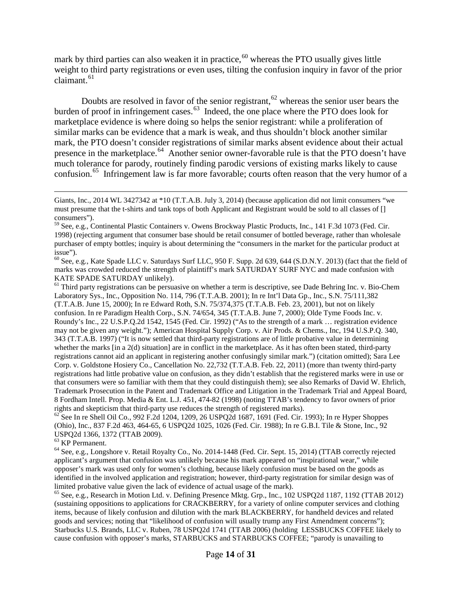mark by third parties can also weaken it in practice, $60$  whereas the PTO usually gives little weight to third party registrations or even uses, tilting the confusion inquiry in favor of the prior claimant.<sup>[61](#page-13-1)</sup>

Doubts are resolved in favor of the senior registrant,<sup>[62](#page-13-2)</sup> whereas the senior user bears the burden of proof in infringement cases. $63$  Indeed, the one place where the PTO does look for marketplace evidence is where doing so helps the senior registrant: while a proliferation of similar marks can be evidence that a mark is weak, and thus shouldn't block another similar mark, the PTO doesn't consider registrations of similar marks absent evidence about their actual presence in the marketplace.<sup>[64](#page-13-4)</sup> Another senior owner-favorable rule is that the PTO doesn't have much tolerance for parody, routinely finding parodic versions of existing marks likely to cause confusion.<sup>[65](#page-13-5)</sup> Infringement law is far more favorable; courts often reason that the very humor of a

<span id="page-13-1"></span>Laboratory Sys., Inc., Opposition No. 114, 796 (T.T.A.B. 2001); In re Int'l Data Gp., Inc., S.N. 75/111,382 (T.T.A.B. June 15, 2000); In re Edward Roth, S.N. 75/374,375 (T.T.A.B. Feb. 23, 2001), but not on likely confusion. In re Paradigm Health Corp., S.N. 74/654, 345 (T.T.A.B. June 7, 2000); Olde Tyme Foods Inc. v. Roundy's Inc., 22 U.S.P.Q.2d 1542, 1545 (Fed. Cir. 1992) ("As to the strength of a mark … registration evidence may not be given any weight."); American Hospital Supply Corp. v. Air Prods. & Chems., Inc, 194 U.S.P.Q. 340, 343 (T.T.A.B. 1997) ("It is now settled that third-party registrations are of little probative value in determining whether the marks [in a 2(d) situation] are in conflict in the marketplace. As it has often been stated, third-party registrations cannot aid an applicant in registering another confusingly similar mark.") (citation omitted); Sara Lee Corp. v. Goldstone Hosiery Co., Cancellation No. 22,732 (T.T.A.B. Feb. 22, 2011) (more than twenty third-party registrations had little probative value on confusion, as they didn't establish that the registered marks were in use or that consumers were so familiar with them that they could distinguish them); see also Remarks of David W. Ehrlich, Trademark Prosecution in the Patent and Trademark Office and Litigation in the Trademark Trial and Appeal Board, 8 Fordham Intell. Prop. Media & Ent. L.J. 451, 474-82 (1998) (noting TTAB's tendency to favor owners of prior

<span id="page-13-2"></span> $^{62}$  See In re Shell Oil Co., 992 F.2d 1204, 1209, 26 USPQ2d 1687, 1691 (Fed. Cir. 1993); In re Hyper Shoppes (Ohio), Inc., 837 F.2d 463, 464-65, 6 USPQ2d 1025, 1026 (Fed. Cir. 1988); In re G.B.I. Tile & Stone, Inc., 92 USPQ2d 1366, 1372 (TTAB 2009).<br><sup>63</sup> KP Permanent.

 $\overline{a}$ 

<span id="page-13-4"></span><span id="page-13-3"></span> $64$  See, e.g., Longshore v. Retail Royalty Co., No. 2014-1448 (Fed. Cir. Sept. 15, 2014) (TTAB correctly rejected applicant's argument that confusion was unlikely because his mark appeared on "inspirational wear," while opposer's mark was used only for women's clothing, because likely confusion must be based on the goods as identified in the involved application and registration; however, third-party registration for similar design was of limited probative value given the lack of evidence of actual usage of the mark).

<span id="page-13-5"></span> $65$  See, e.g., Research in Motion Ltd. v. Defining Presence Mktg. Grp., Inc., 102 USPQ2d 1187, 1192 (TTAB 2012) (sustaining oppositions to applications for CRACKBERRY, for a variety of online computer services and clothing items, because of likely confusion and dilution with the mark BLACKBERRY, for handheld devices and related goods and services; noting that "likelihood of confusion will usually trump any First Amendment concerns"); Starbucks U.S. Brands, LLC v. Ruben, 78 USPQ2d 1741 (TTAB 2006) (holding LESSBUCKS COFFEE likely to cause confusion with opposer's marks, STARBUCKS and STARBUCKS COFFEE; "parody is unavailing to

Giants, Inc., 2014 WL 3427342 at \*10 (T.T.A.B. July 3, 2014) (because application did not limit consumers "we must presume that the t-shirts and tank tops of both Applicant and Registrant would be sold to all classes of [] consumers").<br><sup>59</sup> See, e.g., Continental Plastic Containers v. Owens Brockway Plastic Products, Inc., 141 F.3d 1073 (Fed. Cir.

<sup>1998) (</sup>rejecting argument that consumer base should be retail consumer of bottled beverage, rather than wholesale purchaser of empty bottles; inquiry is about determining the "consumers in the market for the particular product at

<span id="page-13-0"></span>issue").<br><sup>60</sup> See, e.g., Kate Spade LLC v. Saturdays Surf LLC, 950 F. Supp. 2d 639, 644 (S.D.N.Y. 2013) (fact that the field of marks was crowded reduced the strength of plaintiff's mark SATURDAY SURF NYC and made confusion with KATE SPADE SATURDAY unlikely).<br><sup>61</sup> Third party registrations can be persuasive on whether a term is descriptive, see Dade Behring Inc. v. Bio-Chem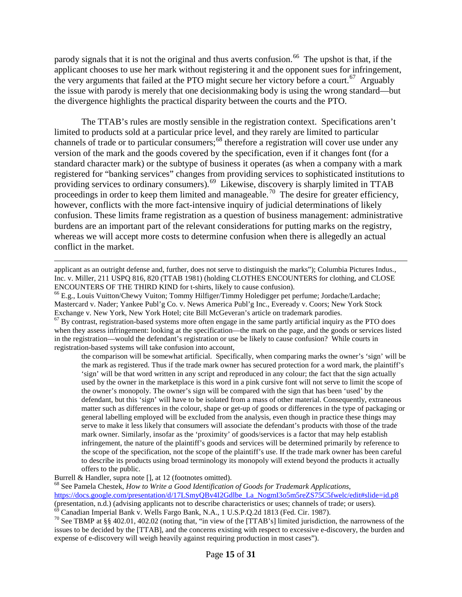parody signals that it is not the original and thus averts confusion.<sup>66</sup> The upshot is that, if the applicant chooses to use her mark without registering it and the opponent sues for infringement, the very arguments that failed at the PTO might secure her victory before a court.<sup>67</sup> Arguably the issue with parody is merely that one decisionmaking body is using the wrong standard—but the divergence highlights the practical disparity between the courts and the PTO.

The TTAB's rules are mostly sensible in the registration context. Specifications aren't limited to products sold at a particular price level, and they rarely are limited to particular channels of trade or to particular consumers;<sup>[68](#page-14-2)</sup> therefore a registration will cover use under any version of the mark and the goods covered by the specification, even if it changes font (for a standard character mark) or the subtype of business it operates (as when a company with a mark registered for "banking services" changes from providing services to sophisticated institutions to providing services to ordinary consumers). [69](#page-14-3) Likewise, discovery is sharply limited in TTAB proceedings in order to keep them limited and manageable.<sup>[70](#page-14-4)</sup> The desire for greater efficiency, however, conflicts with the more fact-intensive inquiry of judicial determinations of likely confusion. These limits frame registration as a question of business management: administrative burdens are an important part of the relevant considerations for putting marks on the registry, whereas we will accept more costs to determine confusion when there is allegedly an actual conflict in the market.

<span id="page-14-1"></span> $67$  By contrast, registration-based systems more often engage in the same partly artificial inquiry as the PTO does when they assess infringement: looking at the specification—the mark on the page, and the goods or services listed in the registration—would the defendant's registration or use be likely to cause confusion? While courts in registration-based systems will take confusion into account,

the comparison will be somewhat artificial. Specifically, when comparing marks the owner's 'sign' will be the mark as registered. Thus if the trade mark owner has secured protection for a word mark, the plaintiff's 'sign' will be that word written in any script and reproduced in any colour; the fact that the sign actually used by the owner in the marketplace is this word in a pink cursive font will not serve to limit the scope of the owner's monopoly. The owner's sign will be compared with the sign that has been 'used' by the defendant, but this 'sign' will have to be isolated from a mass of other material. Consequently, extraneous matter such as differences in the colour, shape or get-up of goods or differences in the type of packaging or general labelling employed will be excluded from the analysis, even though in practice these things may serve to make it less likely that consumers will associate the defendant's products with those of the trade mark owner. Similarly, insofar as the 'proximity' of goods/services is a factor that may help establish infringement, the nature of the plaintiff's goods and services will be determined primarily by reference to the scope of the specification, not the scope of the plaintiff's use. If the trade mark owner has been careful to describe its products using broad terminology its monopoly will extend beyond the products it actually offers to the public.

Burrell & Handler, supra note [], at 12 (footnotes omitted).

 $\overline{a}$ applicant as an outright defense and, further, does not serve to distinguish the marks"); Columbia Pictures Indus., Inc. v. Miller, 211 USPQ 816, 820 (TTAB 1981) (holding CLOTHES ENCOUNTERS for clothing, and CLOSE ENCOUNTERS OF THE THIRD KIND for t-shirts, likely to cause confusion). <sup>66</sup> E.g., Louis Vuitton/Chewy Vuiton; Tommy Hilfiger/Timmy Holedigger pet perfume; Jordache/Lardache;

<span id="page-14-0"></span>Mastercard v. Nader; Yankee Publ'g Co. v. News America Publ'g Inc., Eveready v. Coors; New York Stock

<span id="page-14-2"></span><sup>68</sup> See Pamela Chestek, *How to Write a Good Identification of Goods for Trademark Applications*, [https://docs.google.com/presentation/d/17LSmyQBv4I2Gdlbe\\_La\\_NogmI3o5m5reZS75C5fwelc/edit#slide=id.p8](https://docs.google.com/presentation/d/17LSmyQBv4I2Gdlbe_La_NogmI3o5m5reZS75C5fwelc/edit%23slide=id.p8) (presentation, n.d.) (advising applicants not to describe characteristics or uses; channels of trade; or users).<br><sup>69</sup> Canadian Imperial Bank v. Wells Fargo Bank, N.A., 1 U.S.P.Q.2d 1813 (Fed. Cir. 1987).

<span id="page-14-3"></span>

<span id="page-14-4"></span><sup>&</sup>lt;sup>70</sup> See TBMP at §§ 402.01, 402.02 (noting that, "in view of the [TTAB's] limited jurisdiction, the narrowness of the issues to be decided by the [TTAB], and the concerns existing with respect to excessive e-discovery, the burden and expense of e-discovery will weigh heavily against requiring production in most cases").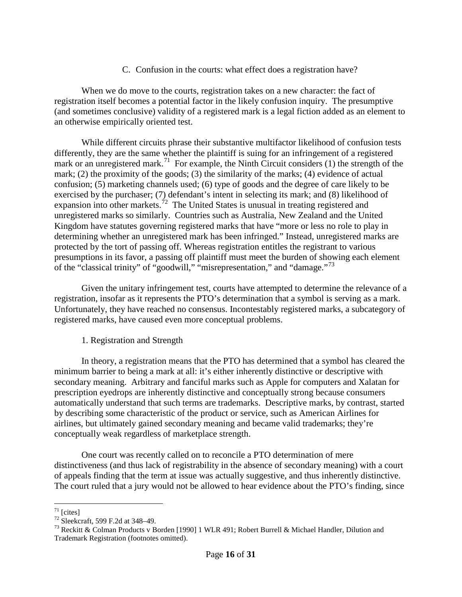### C. Confusion in the courts: what effect does a registration have?

When we do move to the courts, registration takes on a new character: the fact of registration itself becomes a potential factor in the likely confusion inquiry. The presumptive (and sometimes conclusive) validity of a registered mark is a legal fiction added as an element to an otherwise empirically oriented test.

While different circuits phrase their substantive multifactor likelihood of confusion tests differently, they are the same whether the plaintiff is suing for an infringement of a registered mark or an unregistered mark.<sup>71</sup> For example, the Ninth Circuit considers (1) the strength of the mark; (2) the proximity of the goods; (3) the similarity of the marks; (4) evidence of actual confusion; (5) marketing channels used; (6) type of goods and the degree of care likely to be exercised by the purchaser; (7) defendant's intent in selecting its mark; and (8) likelihood of expansion into other markets.<sup>[72](#page-15-1)</sup> The United States is unusual in treating registered and unregistered marks so similarly. Countries such as Australia, New Zealand and the United Kingdom have statutes governing registered marks that have "more or less no role to play in determining whether an unregistered mark has been infringed." Instead, unregistered marks are protected by the tort of passing off. Whereas registration entitles the registrant to various presumptions in its favor, a passing off plaintiff must meet the burden of showing each element of the "classical trinity" of "goodwill," "misrepresentation," and "damage."[73](#page-15-2)

Given the unitary infringement test, courts have attempted to determine the relevance of a registration, insofar as it represents the PTO's determination that a symbol is serving as a mark. Unfortunately, they have reached no consensus. Incontestably registered marks, a subcategory of registered marks, have caused even more conceptual problems.

#### 1. Registration and Strength

In theory, a registration means that the PTO has determined that a symbol has cleared the minimum barrier to being a mark at all: it's either inherently distinctive or descriptive with secondary meaning. Arbitrary and fanciful marks such as Apple for computers and Xalatan for prescription eyedrops are inherently distinctive and conceptually strong because consumers automatically understand that such terms are trademarks. Descriptive marks, by contrast, started by describing some characteristic of the product or service, such as American Airlines for airlines, but ultimately gained secondary meaning and became valid trademarks; they're conceptually weak regardless of marketplace strength.

One court was recently called on to reconcile a PTO determination of mere distinctiveness (and thus lack of registrability in the absence of secondary meaning) with a court of appeals finding that the term at issue was actually suggestive, and thus inherently distinctive. The court ruled that a jury would not be allowed to hear evidence about the PTO's finding, since

<span id="page-15-2"></span><span id="page-15-1"></span>

<span id="page-15-0"></span><sup>&</sup>lt;sup>71</sup> [cites]<br><sup>72</sup> Sleekcraft, 599 F.2d at 348–49.<br><sup>73</sup> Reckitt & Colman Products v Borden [1990] 1 WLR 491; Robert Burrell & Michael Handler, Dilution and Trademark Registration (footnotes omitted).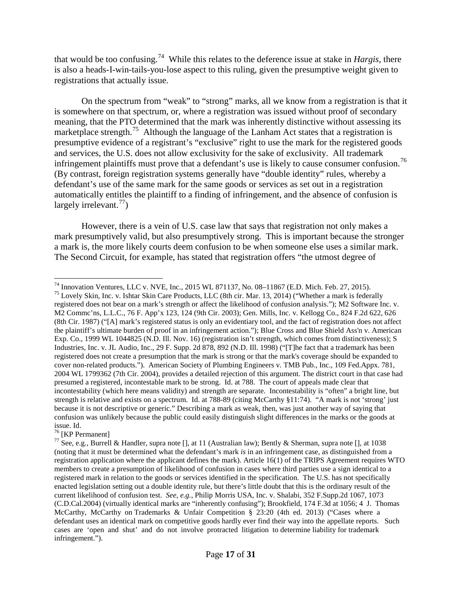that would be too confusing.[74](#page-16-0) While this relates to the deference issue at stake in *Hargis*, there is also a heads-I-win-tails-you-lose aspect to this ruling, given the presumptive weight given to registrations that actually issue.

On the spectrum from "weak" to "strong" marks, all we know from a registration is that it is somewhere on that spectrum, or, where a registration was issued without proof of secondary meaning, that the PTO determined that the mark was inherently distinctive without assessing its marketplace strength.<sup>75</sup> Although the language of the Lanham Act states that a registration is presumptive evidence of a registrant's "exclusive" right to use the mark for the registered goods and services, the U.S. does not allow exclusivity for the sake of exclusivity. All trademark infringement plaintiffs must prove that a defendant's use is likely to cause consumer confusion.<sup>[76](#page-16-2)</sup> (By contrast, foreign registration systems generally have "double identity" rules, whereby a defendant's use of the same mark for the same goods or services as set out in a registration automatically entitles the plaintiff to a finding of infringement, and the absence of confusion is largely irrelevant.<sup>77</sup>)

However, there is a vein of U.S. case law that says that registration not only makes a mark presumptively valid, but also presumptively strong. This is important because the stronger a mark is, the more likely courts deem confusion to be when someone else uses a similar mark. The Second Circuit, for example, has stated that registration offers "the utmost degree of

<span id="page-16-1"></span>registered does not bear on a mark's strength or affect the likelihood of confusion analysis."); M2 Software Inc. v. M2 Commc'ns, L.L.C., 76 F. App'x 123, 124 (9th Cir. 2003); Gen. Mills, Inc. v. Kellogg Co., 824 F.2d 622, 626 (8th Cir. 1987) ("[A] mark's registered status is only an evidentiary tool, and the fact of registration does not affect the plaintiff's ultimate burden of proof in an infringement action."); Blue Cross and Blue Shield Ass'n v. American Exp. Co., 1999 WL 1044825 (N.D. Ill. Nov. 16) (registration isn't strength, which comes from distinctiveness); S Industries, Inc. v. JL Audio, Inc., 29 F. Supp. 2d 878, 892 (N.D. Ill. 1998) ("[T]he fact that a trademark has been registered does not create a presumption that the mark is strong or that the mark's coverage should be expanded to cover non-related products."). American Society of Plumbing Engineers v. TMB Pub., Inc., 109 Fed.Appx. 781, 2004 WL 1799362 (7th Cir. 2004), provides a detailed rejection of this argument. The district court in that case had presumed a registered, incontestable mark to be strong. Id. at 788. The court of appeals made clear that incontestability (which here means validity) and strength are separate. Incontestability is "often" a bright line, but strength is relative and exists on a spectrum. Id. at 788-89 (citing McCarthy §11:74). "A mark is not 'strong' just because it is not descriptive or generic." Describing a mark as weak, then, was just another way of saying that confusion was unlikely because the public could easily distinguish slight differences in the marks or the goods at issue. Id.<br><sup>76</sup> [KP Permanent]

<span id="page-16-0"></span><sup>&</sup>lt;sup>74</sup> Innovation Ventures, LLC v. NVE, Inc., 2015 WL 871137, No. 08–11867 (E.D. Mich. Feb. 27, 2015).<br><sup>75</sup> Lovely Skin, Inc. v. Ishtar Skin Care Products, LLC (8th cir. Mar. 13, 2014) ("Whether a mark is federally

<span id="page-16-3"></span><span id="page-16-2"></span><sup>&</sup>lt;sup>77</sup> See, e.g., Burrell & Handler, supra note [], at 11 (Australian law); Bently & Sherman, supra note [], at 1038 (noting that it must be determined what the defendant's mark *is* in an infringement case, as distinguished from a registration application where the applicant defines the mark). Article 16(1) of the TRIPS Agreement requires WTO members to create a presumption of likelihood of confusion in cases where third parties use a sign identical to a registered mark in relation to the goods or services identified in the specification. The U.S. has not specifically enacted legislation setting out a double identity rule, but there's little doubt that this is the ordinary result of the current likelihood of confusion test. *See, e.g.*, Philip Morris USA, Inc. v. Shalabi, 352 F.Supp.2d 1067, 1073 (C.D.Cal.2004) (virtually identical marks are "inherently confusing"); Brookfield, 174 F.3d at 1056; 4 J. Thomas McCarthy, McCarthy on Trademarks & Unfair Competition § 23:20 (4th ed. 2013) ("Cases where a defendant uses an identical mark on competitive goods hardly ever find their way into the appellate reports. Such cases are 'open and shut' and do not involve protracted litigation to determine liability for trademark infringement.").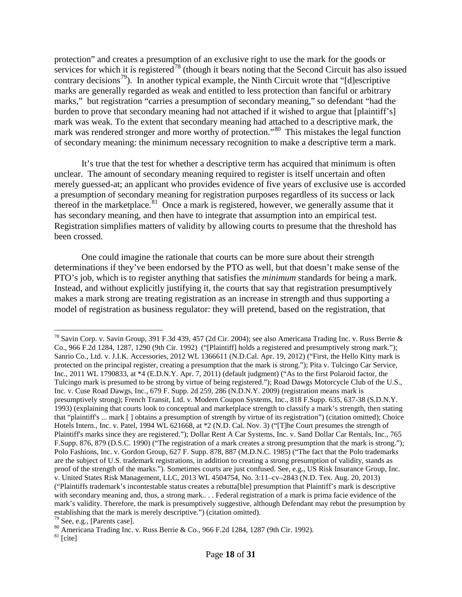protection" and creates a presumption of an exclusive right to use the mark for the goods or services for which it is registered<sup>[78](#page-17-0)</sup> (though it bears noting that the Second Circuit has also issued contrary decisions<sup>[79](#page-17-1)</sup>). In another typical example, the Ninth Circuit wrote that "[d]escriptive marks are generally regarded as weak and entitled to less protection than fanciful or arbitrary marks," but registration "carries a presumption of secondary meaning," so defendant "had the burden to prove that secondary meaning had not attached if it wished to argue that [plaintiff's] mark was weak. To the extent that secondary meaning had attached to a descriptive mark, the mark was rendered stronger and more worthy of protection."<sup>[80](#page-17-2)</sup> This mistakes the legal function of secondary meaning: the minimum necessary recognition to make a descriptive term a mark.

It's true that the test for whether a descriptive term has acquired that minimum is often unclear. The amount of secondary meaning required to register is itself uncertain and often merely guessed-at; an applicant who provides evidence of five years of exclusive use is accorded a presumption of secondary meaning for registration purposes regardless of its success or lack thereof in the marketplace. $81$  Once a mark is registered, however, we generally assume that it has secondary meaning, and then have to integrate that assumption into an empirical test. Registration simplifies matters of validity by allowing courts to presume that the threshold has been crossed.

One could imagine the rationale that courts can be more sure about their strength determinations if they've been endorsed by the PTO as well, but that doesn't make sense of the PTO's job, which is to register anything that satisfies the *minimum* standards for being a mark. Instead, and without explicitly justifying it, the courts that say that registration presumptively makes a mark strong are treating registration as an increase in strength and thus supporting a model of registration as business regulator: they will pretend, based on the registration, that

<span id="page-17-0"></span> <sup>78</sup> Savin Corp. v. Savin Group, 391 F.3d 439, 457 (2d Cir. 2004); see also Americana Trading Inc. v. Russ Berrie & Co., 966 F.2d 1284, 1287, 1290 (9th Cir. 1992) ("[Plaintiff] holds a registered and presumptively strong mark."); Sanrio Co., Ltd. v. J.I.K. Accessories, 2012 WL 1366611 (N.D.Cal. Apr. 19, 2012) ("First, the Hello Kitty mark is protected on the principal register, creating a presumption that the mark is strong."); Pita v. Tulcingo Car Service, Inc., 2011 WL 1790833, at \*4 (E.D.N.Y. Apr. 7, 2011) (default judgment) ("As to the first Polaroid factor, the Tulcingo mark is presumed to be strong by virtue of being registered."); Road Dawgs Motorcycle Club of the U.S., Inc. v. Cuse Road Dawgs, Inc., 679 F. Supp. 2d 259, 286 (N.D.N.Y. 2009) (registration means mark is presumptively strong); French Transit, Ltd. v. Modern Coupon Systems, Inc., 818 F.Supp. 635, 637-38 (S.D.N.Y. 1993) (explaining that courts look to conceptual and marketplace strength to classify a mark's strength, then stating that "plaintiff's ... mark [ ] obtains a presumption of strength by virtue of its registration") (citation omitted); Choice Hotels Intern., Inc. v. Patel, 1994 WL 621668, at \*2 (N.D. Cal. Nov. 3) ("[T]he Court presumes the strength of Plaintiff's marks since they are registered."); Dollar Rent A Car Systems, Inc. v. Sand Dollar Car Rentals, Inc., 765 F.Supp. 876, 879 (D.S.C. 1990) ("The registration of a mark creates a strong presumption that the mark is strong."); Polo Fashions, Inc. v. Gordon Group, 627 F. Supp. 878, 887 (M.D.N.C. 1985) ("The fact that the Polo trademarks are the subject of U.S. trademark registrations, in addition to creating a strong presumption of validity, stands as proof of the strength of the marks."). Sometimes courts are just confused. See, e.g., US Risk Insurance Group, Inc. v. United States Risk Management, LLC, 2013 WL 4504754, No. 3:11–cv–2843 (N.D. Tex. Aug. 20, 2013) ("Plaintiffs trademark's incontestable status creates a rebutta[ble] presumption that Plaintiff's mark is descriptive with secondary meaning and, thus, a strong mark... . Federal registration of a mark is prima facie evidence of the mark's validity. Therefore, the mark is presumptively suggestive, although Defendant may rebut the presumption by establishing that the mark is merely descriptive.") (citation omitted).

<span id="page-17-2"></span><span id="page-17-1"></span><sup>&</sup>lt;sup>79</sup> See, e.g., [Parents case].<br><sup>80</sup> Americana Trading Inc. v. Russ Berrie & Co., 966 F.2d 1284, 1287 (9th Cir. 1992). <sup>81</sup> [cite]

<span id="page-17-3"></span>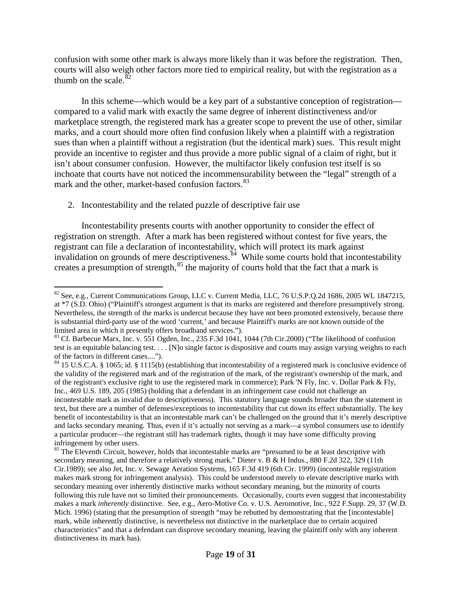confusion with some other mark is always more likely than it was before the registration. Then, courts will also weigh other factors more tied to empirical reality, but with the registration as a thumb on the scale. $82$ 

In this scheme—which would be a key part of a substantive conception of registration compared to a valid mark with exactly the same degree of inherent distinctiveness and/or marketplace strength, the registered mark has a greater scope to prevent the use of other, similar marks, and a court should more often find confusion likely when a plaintiff with a registration sues than when a plaintiff without a registration (but the identical mark) sues. This result might provide an incentive to register and thus provide a more public signal of a claim of right, but it isn't about consumer confusion. However, the multifactor likely confusion test itself is so inchoate that courts have not noticed the incommensurability between the "legal" strength of a mark and the other, market-based confusion factors.<sup>[83](#page-18-1)</sup>

2. Incontestability and the related puzzle of descriptive fair use

Incontestability presents courts with another opportunity to consider the effect of registration on strength. After a mark has been registered without contest for five years, the registrant can file a declaration of incontestability, which will protect its mark against invalidation on grounds of mere descriptiveness.<sup>84</sup> While some courts hold that incontestability creates a presumption of strength,<sup>[85](#page-18-3)</sup> the majority of courts hold that the fact that a mark is

<span id="page-18-0"></span><sup>&</sup>lt;sup>82</sup> See, e.g., Current Communications Group, LLC v. Current Media, LLC, 76 U.S.P.Q.2d 1686, 2005 WL 1847215, at \*7 (S.D. Ohio) ("Plaintiff's strongest argument is that its marks are registered and therefore presumptively strong. Nevertheless, the strength of the marks is undercut because they have not been promoted extensively, because there is substantial third-party use of the word 'current,' and because Plaintiff's marks are not known outside of the

<span id="page-18-1"></span>limited area in which it presently offers broadband services.").<br><sup>83</sup> Cf. Barbecue Marx, Inc. v. 551 Ogden, Inc., 235 F.3d 1041, 1044 (7th Cir.2000) ("The likelihood of confusion test is an equitable balancing test. . . . [N]o single factor is dispositive and courts may assign varying weights to each

<span id="page-18-2"></span>of the factors in different cases....").<br><sup>84</sup> 15 U.S.C.A. § 1065; id. § 1115(b) (establishing that incontestability of a registered mark is conclusive evidence of the validity of the registered mark and of the registration of the mark, of the registrant's ownership of the mark, and of the registrant's exclusive right to use the registered mark in commerce); Park 'N Fly, Inc. v. Dollar Park & Fly, Inc., 469 U.S. 189, 205 (1985) (holding that a defendant in an infringement case could not challenge an incontestable mark as invalid due to descriptiveness). This statutory language sounds broader than the statement in text, but there are a number of defenses/exceptions to incontestability that cut down its effect substantially. The key benefit of incontestability is that an incontestable mark can't be challenged on the ground that it's merely descriptive and lacks secondary meaning. Thus, even if it's actually not serving as a mark—a symbol consumers use to identify a particular producer—the registrant still has trademark rights, though it may have some difficulty proving infringement by other users.

<span id="page-18-3"></span><sup>&</sup>lt;sup>85</sup> The Eleventh Circuit, however, holds that incontestable marks are "presumed to be at least descriptive with secondary meaning, and therefore a relatively strong mark." Dieter v. B & H Indus., 880 F.2d 322, 329 (11th Cir.1989); see also Jet, Inc. v. Sewage Aeration Systems, 165 F.3d 419 (6th Cir. 1999) (incontestable registration makes mark strong for infringement analysis). This could be understood merely to elevate descriptive marks with secondary meaning over inherently distinctive marks without secondary meaning, but the minority of courts following this rule have not so limited their pronouncements. Occasionally, courts even suggest that incontestability makes a mark *inherently* distinctive. See, e.g., Aero-Motive Co. v. U.S. Aeromotive, Inc., 922 F.Supp. 29, 37 (W.D. Mich. 1996) (stating that the presumption of strength "may be rebutted by demonstrating that the [incontestable] mark, while inherently distinctive, is nevertheless not distinctive in the marketplace due to certain acquired characteristics" and that a defendant can disprove secondary meaning, leaving the plaintiff only with any inherent distinctiveness its mark has).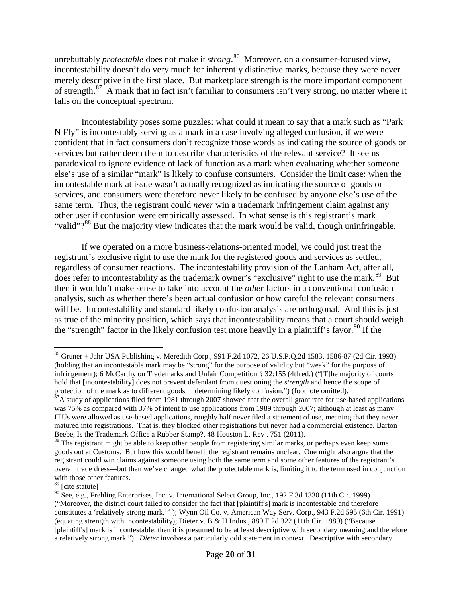unrebuttably *protectable* does not make it *strong*. [86](#page-19-0) Moreover, on a consumer-focused view, incontestability doesn't do very much for inherently distinctive marks, because they were never merely descriptive in the first place. But marketplace strength is the more important component of strength.<sup>[87](#page-19-1)</sup> A mark that in fact isn't familiar to consumers isn't very strong, no matter where it falls on the conceptual spectrum.

Incontestability poses some puzzles: what could it mean to say that a mark such as "Park N Fly" is incontestably serving as a mark in a case involving alleged confusion, if we were confident that in fact consumers don't recognize those words as indicating the source of goods or services but rather deem them to describe characteristics of the relevant service? It seems paradoxical to ignore evidence of lack of function as a mark when evaluating whether someone else's use of a similar "mark" is likely to confuse consumers. Consider the limit case: when the incontestable mark at issue wasn't actually recognized as indicating the source of goods or services, and consumers were therefore never likely to be confused by anyone else's use of the same term. Thus, the registrant could *never* win a trademark infringement claim against any other user if confusion were empirically assessed. In what sense is this registrant's mark "valid"?<sup>[88](#page-19-2)</sup> But the majority view indicates that the mark would be valid, though uninfringable.

If we operated on a more business-relations-oriented model, we could just treat the registrant's exclusive right to use the mark for the registered goods and services as settled, regardless of consumer reactions. The incontestability provision of the Lanham Act, after all, does refer to incontestability as the trademark owner's "exclusive" right to use the mark.<sup>89</sup> But then it wouldn't make sense to take into account the *other* factors in a conventional confusion analysis, such as whether there's been actual confusion or how careful the relevant consumers will be. Incontestability and standard likely confusion analysis are orthogonal. And this is just as true of the minority position, which says that incontestability means that a court should weigh the "strength" factor in the likely confusion test more heavily in a plaintiff's favor.<sup>[90](#page-19-4)</sup> If the

<span id="page-19-0"></span> <sup>86</sup> Gruner + Jahr USA Publishing v. Meredith Corp., 991 F.2d 1072, 26 U.S.P.Q.2d 1583, 1586-87 (2d Cir. 1993) (holding that an incontestable mark may be "strong" for the purpose of validity but "weak" for the purpose of infringement); 6 McCarthy on Trademarks and Unfair Competition § 32:155 (4th ed.) ("[T]he majority of courts hold that [incontestability] does not prevent defendant from questioning the *strength* and hence the scope of protection of the mark as to different goods in determining likely confusion.") (footnote omitted).

<span id="page-19-1"></span> $87A$  study of applications filed from 1981 through 2007 showed that the overall grant rate for use-based applications was 75% as compared with 37% of intent to use applications from 1989 through 2007; although at least as many ITUs were allowed as use-based applications, roughly half never filed a statement of use, meaning that they never matured into registrations. That is, they blocked other registrations but never had a commercial existence. Barton Beebe, Is the Trademark Office a Rubber Stamp?, 48 Houston L. Rev . 751 (2011).

<span id="page-19-2"></span><sup>&</sup>lt;sup>88</sup> The registrant might be able to keep other people from registering similar marks, or perhaps even keep some goods out at Customs. But how this would benefit the registrant remains unclear. One might also argue that the registrant could win claims against someone using both the same term and some other features of the registrant's overall trade dress—but then we've changed what the protectable mark is, limiting it to the term used in conjunction with those other features.

<span id="page-19-3"></span><sup>89</sup> [cite statute]

<span id="page-19-4"></span><sup>90</sup> See, e.g., Frehling Enterprises, Inc. v. International Select Group, Inc., 192 F.3d 1330 (11th Cir. 1999) ("Moreover, the district court failed to consider the fact that [plaintiff's] mark is incontestable and therefore constitutes a 'relatively strong mark.'" ); Wynn Oil Co. v. American Way Serv. Corp., 943 F.2d 595 (6th Cir. 1991) (equating strength with incontestability); Dieter v. B & H Indus., 880 F.2d 322 (11th Cir. 1989) ("Because [plaintiff's] mark is incontestable, then it is presumed to be at least descriptive with secondary meaning and therefore a relatively strong mark."). *Dieter* involves a particularly odd statement in context. Descriptive with secondary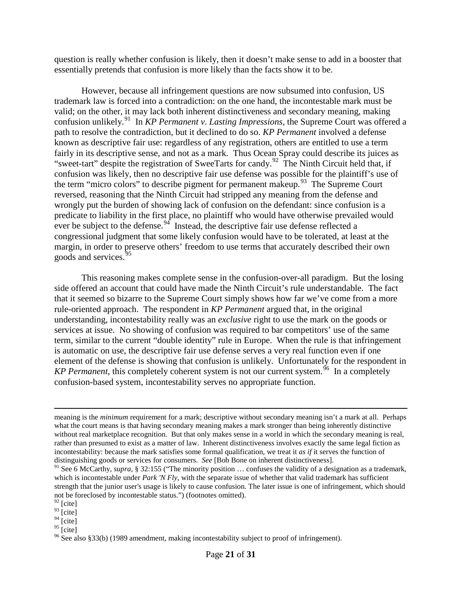question is really whether confusion is likely, then it doesn't make sense to add in a booster that essentially pretends that confusion is more likely than the facts show it to be.

However, because all infringement questions are now subsumed into confusion, US trademark law is forced into a contradiction: on the one hand, the incontestable mark must be valid; on the other, it may lack both inherent distinctiveness and secondary meaning, making confusion unlikely.[91](#page-20-0) In *KP Permanent v. Lasting Impressions*, the Supreme Court was offered a path to resolve the contradiction, but it declined to do so. *KP Permanent* involved a defense known as descriptive fair use: regardless of any registration, others are entitled to use a term fairly in its descriptive sense, and not as a mark. Thus Ocean Spray could describe its juices as "sweet-tart" despite the registration of SweeTarts for candy.<sup>[92](#page-20-1)</sup> The Ninth Circuit held that, if confusion was likely, then no descriptive fair use defense was possible for the plaintiff's use of the term "micro colors" to describe pigment for permanent makeup.<sup>93</sup> The Supreme Court reversed, reasoning that the Ninth Circuit had stripped any meaning from the defense and wrongly put the burden of showing lack of confusion on the defendant: since confusion is a predicate to liability in the first place, no plaintiff who would have otherwise prevailed would ever be subject to the defense.  $94$  Instead, the descriptive fair use defense reflected a congressional judgment that some likely confusion would have to be tolerated, at least at the margin, in order to preserve others' freedom to use terms that accurately described their own goods and services.<sup>[95](#page-20-4)</sup>

This reasoning makes complete sense in the confusion-over-all paradigm. But the losing side offered an account that could have made the Ninth Circuit's rule understandable. The fact that it seemed so bizarre to the Supreme Court simply shows how far we've come from a more rule-oriented approach. The respondent in *KP Permanent* argued that, in the original understanding, incontestability really was an *exclusive* right to use the mark on the goods or services at issue. No showing of confusion was required to bar competitors' use of the same term, similar to the current "double identity" rule in Europe. When the rule is that infringement is automatic on use, the descriptive fair use defense serves a very real function even if one element of the defense is showing that confusion is unlikely. Unfortunately for the respondent in *KP Permanent*, this completely coherent system is not our current system.<sup>96</sup> In a completely confusion-based system, incontestability serves no appropriate function.

 $\overline{a}$ 

meaning is the *minimum* requirement for a mark; descriptive without secondary meaning isn't a mark at all. Perhaps what the court means is that having secondary meaning makes a mark stronger than being inherently distinctive without real marketplace recognition. But that only makes sense in a world in which the secondary meaning is real, rather than presumed to exist as a matter of law. Inherent distinctiveness involves exactly the same legal fiction as incontestability: because the mark satisfies some formal qualification, we treat it *as if* it serves the function of distinguishing goods or services for consumers. *See* [Bob Bone on inherent distinctiveness].

<span id="page-20-0"></span><sup>&</sup>lt;sup>91</sup> See 6 McCarthy, *supra*, § 32:155 ("The minority position ... confuses the validity of a designation as a trademark, which is incontestable under *Park 'N Fly*, with the separate issue of whether that valid trademark has sufficient strength that the junior user's usage is likely to cause confusion. The later issue is one of infringement, which should not be foreclosed by incontestable status.") (footnotes omitted).

 $92$  [cite]

<span id="page-20-2"></span><span id="page-20-1"></span> $^{93}$  [cite]

<span id="page-20-3"></span> $\frac{94}{95}$  [cite]<br> $\frac{95}{95}$  [cite]

<span id="page-20-5"></span><span id="page-20-4"></span> $96$  See also §33(b) (1989 amendment, making incontestability subject to proof of infringement).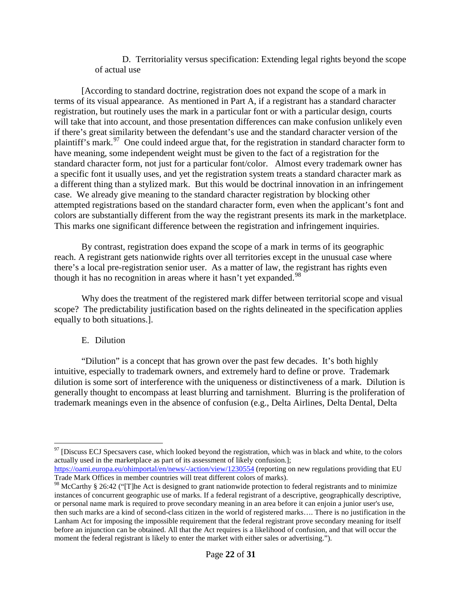D. Territoriality versus specification: Extending legal rights beyond the scope of actual use

[According to standard doctrine, registration does not expand the scope of a mark in terms of its visual appearance. As mentioned in Part A, if a registrant has a standard character registration, but routinely uses the mark in a particular font or with a particular design, courts will take that into account, and those presentation differences can make confusion unlikely even if there's great similarity between the defendant's use and the standard character version of the plaintiff's mark.<sup>97</sup> One could indeed argue that, for the registration in standard character form to have meaning, some independent weight must be given to the fact of a registration for the standard character form, not just for a particular font/color. Almost every trademark owner has a specific font it usually uses, and yet the registration system treats a standard character mark as a different thing than a stylized mark. But this would be doctrinal innovation in an infringement case. We already give meaning to the standard character registration by blocking other attempted registrations based on the standard character form, even when the applicant's font and colors are substantially different from the way the registrant presents its mark in the marketplace. This marks one significant difference between the registration and infringement inquiries.

By contrast, registration does expand the scope of a mark in terms of its geographic reach. A registrant gets nationwide rights over all territories except in the unusual case where there's a local pre-registration senior user. As a matter of law, the registrant has rights even though it has no recognition in areas where it hasn't yet expanded.<sup>[98](#page-21-1)</sup>

Why does the treatment of the registered mark differ between territorial scope and visual scope? The predictability justification based on the rights delineated in the specification applies equally to both situations.].

## E. Dilution

"Dilution" is a concept that has grown over the past few decades. It's both highly intuitive, especially to trademark owners, and extremely hard to define or prove. Trademark dilution is some sort of interference with the uniqueness or distinctiveness of a mark. Dilution is generally thought to encompass at least blurring and tarnishment. Blurring is the proliferation of trademark meanings even in the absence of confusion (e.g., Delta Airlines, Delta Dental, Delta

<span id="page-21-0"></span> $97$  [Discuss ECJ Specsavers case, which looked beyond the registration, which was in black and white, to the colors actually used in the marketplace as part of its assessment of likely confusion.];

<https://oami.europa.eu/ohimportal/en/news/-/action/view/1230554> (reporting on new regulations providing that EU Trade Mark Offices in member countries will treat different colors of marks).

<span id="page-21-1"></span><sup>98</sup> McCarthy § 26:42 ("[T]he Act is designed to grant nationwide protection to federal registrants and to minimize instances of concurrent geographic use of marks. If a federal registrant of a descriptive, geographically descriptive, or personal name mark is required to prove secondary meaning in an area before it can enjoin a junior user's use, then such marks are a kind of second-class citizen in the world of registered marks…. There is no justification in the Lanham Act for imposing the impossible requirement that the federal registrant prove secondary meaning for itself before an injunction can be obtained. All that the Act requires is a likelihood of confusion, and that will occur the moment the federal registrant is likely to enter the market with either sales or advertising.").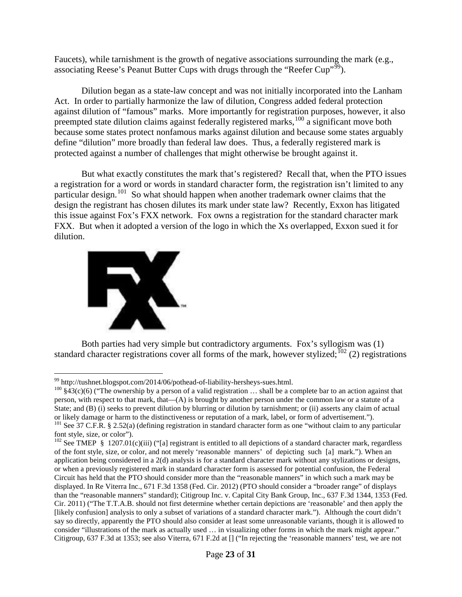Faucets), while tarnishment is the growth of negative associations surrounding the mark (e.g., associating Reese's Peanut Butter Cups with drugs through the "Reefer Cup"<sup>[99](#page-22-0)</sup>).

Dilution began as a state-law concept and was not initially incorporated into the Lanham Act. In order to partially harmonize the law of dilution, Congress added federal protection against dilution of "famous" marks. More importantly for registration purposes, however, it also preempted state dilution claims against federally registered marks,<sup>[100](#page-22-1)</sup> a significant move both because some states protect nonfamous marks against dilution and because some states arguably define "dilution" more broadly than federal law does. Thus, a federally registered mark is protected against a number of challenges that might otherwise be brought against it.

But what exactly constitutes the mark that's registered? Recall that, when the PTO issues a registration for a word or words in standard character form, the registration isn't limited to any particular design.<sup>[101](#page-22-2)</sup> So what should happen when another trademark owner claims that the design the registrant has chosen dilutes its mark under state law? Recently, Exxon has litigated this issue against Fox's FXX network. Fox owns a registration for the standard character mark FXX. But when it adopted a version of the logo in which the Xs overlapped, Exxon sued it for dilution.



Both parties had very simple but contradictory arguments. Fox's syllogism was (1) standard character registrations cover all forms of the mark, however stylized;<sup>[102](#page-22-3)</sup> (2) registrations

<span id="page-22-1"></span><span id="page-22-0"></span><sup>&</sup>lt;sup>99</sup> http://tushnet.blogspot.com/2014/06/pothead-of-liability-hersheys-sues.html.<br><sup>100</sup> §43(c)(6) ("The ownership by a person of a valid registration ... shall be a complete bar to an action against that person, with respect to that mark, that—(A) is brought by another person under the common law or a statute of a State; and (B) (i) seeks to prevent dilution by blurring or dilution by tarnishment; or (ii) asserts any claim of actual or likely damage or harm to the distinctiveness or reputation of a mark, label, or form of advertisem

<span id="page-22-2"></span> $^{101}$  See 37 C.F.R. § 2.52(a) (defining registration in standard character form as one "without claim to any particular font style, size, or color").

<span id="page-22-3"></span><sup>&</sup>lt;sup>102</sup> See TMEP § 1207.01(c)(iii) ("[a] registrant is entitled to all depictions of a standard character mark, regardless of the font style, size, or color, and not merely 'reasonable manners' of depicting such [a] mark."). When an application being considered in a 2(d) analysis is for a standard character mark without any stylizations or designs, or when a previously registered mark in standard character form is assessed for potential confusion, the Federal Circuit has held that the PTO should consider more than the "reasonable manners" in which such a mark may be displayed. In Re Viterra Inc., 671 F.3d 1358 (Fed. Cir. 2012) (PTO should consider a "broader range" of displays than the "reasonable manners" standard); Citigroup Inc. v. Capital City Bank Group, Inc., 637 F.3d 1344, 1353 (Fed. Cir. 2011) ("The T.T.A.B. should not first determine whether certain depictions are 'reasonable' and then apply the [likely confusion] analysis to only a subset of variations of a standard character mark."). Although the court didn't say so directly, apparently the PTO should also consider at least some unreasonable variants, though it is allowed to consider "illustrations of the mark as actually used … in visualizing other forms in which the mark might appear." Citigroup, 637 F.3d at 1353; see also Viterra, 671 F.2d at [] ("In rejecting the 'reasonable manners' test, we are not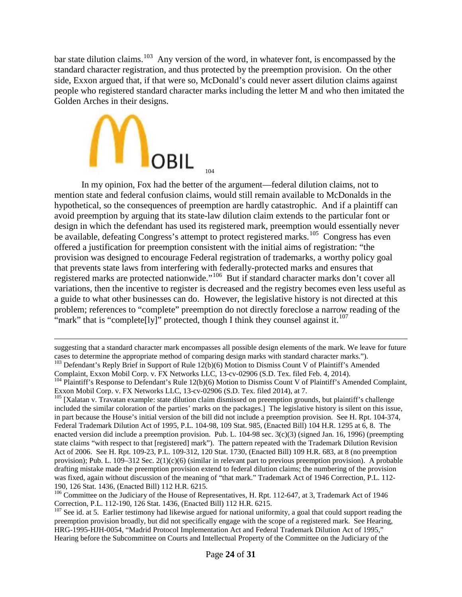bar state dilution claims.<sup>103</sup> Any version of the word, in whatever font, is encompassed by the standard character registration, and thus protected by the preemption provision. On the other side, Exxon argued that, if that were so, McDonald's could never assert dilution claims against people who registered standard character marks including the letter M and who then imitated the Golden Arches in their designs.



 $\overline{a}$ 

In my opinion, Fox had the better of the argument—federal dilution claims, not to mention state and federal confusion claims, would still remain available to McDonalds in the hypothetical, so the consequences of preemption are hardly catastrophic. And if a plaintiff can avoid preemption by arguing that its state-law dilution claim extends to the particular font or design in which the defendant has used its registered mark, preemption would essentially never be available, defeating Congress's attempt to protect registered marks.<sup>105</sup> Congress has even offered a justification for preemption consistent with the initial aims of registration: "the provision was designed to encourage Federal registration of trademarks, a worthy policy goal that prevents state laws from interfering with federally-protected marks and ensures that registered marks are protected nationwide."[106](#page-23-3) But if standard character marks don't cover all variations, then the incentive to register is decreased and the registry becomes even less useful as a guide to what other businesses can do. However, the legislative history is not directed at this problem; references to "complete" preemption do not directly foreclose a narrow reading of the "mark" that is "complete[ly]" protected, though I think they counsel against it.<sup>[107](#page-23-4)</sup>

suggesting that a standard character mark encompasses all possible design elements of the mark. We leave for future cases to determine the appropriate method of comparing design marks with standard character marks.").

<span id="page-23-0"></span><sup>&</sup>lt;sup>103</sup> Defendant's Reply Brief in Support of Rule 12(b)(6) Motion to Dismiss Count V of Plaintiff's Amended Complaint, Exxon Mobil Corp. v. FX Networks LLC, 13-cv-02906 (S.D. Tex. filed Feb. 4, 2014).

<span id="page-23-1"></span><sup>&</sup>lt;sup>104</sup> Plaintiff's Response to Defendant's Rule 12(b)(6) Motion to Dismiss Count V of Plaintiff's Amended Complaint, Exxon Mobil Corp. v. FX Networks LLC, 13-cv-02906 (S.D. Tex. filed 2014), at 7.

<span id="page-23-2"></span> $^{105}$  [Xalatan v. Travatan example: state dilution claim dismissed on preemption grounds, but plaintiff's challenge included the similar coloration of the parties' marks on the packages.] The legislative history is silent on this issue, in part because the House's initial version of the bill did not include a preemption provision. See H. Rpt. 104-374, Federal Trademark Dilution Act of 1995, P.L. 104-98, 109 Stat. 985, (Enacted Bill) 104 H.R. 1295 at 6, 8. The enacted version did include a preemption provision. Pub. L. 104-98 sec. 3(c)(3) (signed Jan. 16, 1996) (preempting state claims "with respect to that [registered] mark"). The pattern repeated with the Trademark Dilution Revision Act of 2006. See H. Rpt. 109-23, P.L. 109-312, 120 Stat. 1730, (Enacted Bill) 109 H.R. 683, at 8 (no preemption provision); Pub. L. 109–312 Sec. 2(1)(c)(6) (similar in relevant part to previous preemption provision). A probable drafting mistake made the preemption provision extend to federal dilution claims; the numbering of the provision was fixed, again without discussion of the meaning of "that mark." Trademark Act of 1946 Correction, P.L. 112- 190, 126 Stat. 1436, (Enacted Bill) 112 H.R. 6215.

<span id="page-23-3"></span><sup>&</sup>lt;sup>106</sup> Committee on the Judiciary of the House of Representatives, H. Rpt. 112-647, at 3, Trademark Act of 1946<br>Correction, P.L. 112-190, 126 Stat. 1436, (Enacted Bill) 112 H.R. 6215.

<span id="page-23-4"></span> $^{107}$  See id. at 5. Earlier testimony had likewise argued for national uniformity, a goal that could support reading the preemption provision broadly, but did not specifically engage with the scope of a registered mark. See Hearing, HRG-1995-HJH-0054, "Madrid Protocol Implementation Act and Federal Trademark Dilution Act of 1995," Hearing before the Subcommittee on Courts and Intellectual Property of the Committee on the Judiciary of the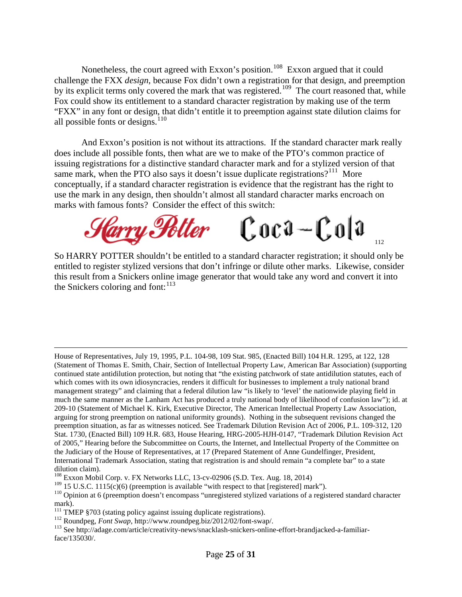Nonetheless, the court agreed with Exxon's position.<sup>108</sup> Exxon argued that it could challenge the FXX *design*, because Fox didn't own a registration for that design, and preemption by its explicit terms only covered the mark that was registered.<sup>[109](#page-24-1)</sup> The court reasoned that, while Fox could show its entitlement to a standard character registration by making use of the term "FXX" in any font or design, that didn't entitle it to preemption against state dilution claims for all possible fonts or designs. $110$ 

And Exxon's position is not without its attractions. If the standard character mark really does include all possible fonts, then what are we to make of the PTO's common practice of issuing registrations for a distinctive standard character mark and for a stylized version of that same mark, when the PTO also says it doesn't issue duplicate registrations?<sup>111</sup> More conceptually, if a standard character registration is evidence that the registrant has the right to use the mark in any design, then shouldn't almost all standard character marks encroach on marks with famous fonts? Consider the effect of this switch:



So HARRY POTTER shouldn't be entitled to a standard character registration; it should only be entitled to register stylized versions that don't infringe or dilute other marks. Likewise, consider this result from a Snickers online image generator that would take any word and convert it into the Snickers coloring and font:  $113$ 

House of Representatives, July 19, 1995, P.L. 104-98, 109 Stat. 985, (Enacted Bill) 104 H.R. 1295, at 122, 128 (Statement of Thomas E. Smith, Chair, Section of Intellectual Property Law, American Bar Association) (supporting continued state antidilution protection, but noting that "the existing patchwork of state antidilution statutes, each of which comes with its own idiosyncracies, renders it difficult for businesses to implement a truly national brand management strategy" and claiming that a federal dilution law "is likely to 'level' the nationwide playing field in much the same manner as the Lanham Act has produced a truly national body of likelihood of confusion law"); id. at 209-10 (Statement of Michael K. Kirk, Executive Director, The American Intellectual Property Law Association, arguing for strong preemption on national uniformity grounds). Nothing in the subsequent revisions changed the preemption situation, as far as witnesses noticed. See Trademark Dilution Revision Act of 2006, P.L. 109-312, 120 Stat. 1730, (Enacted Bill) 109 H.R. 683, House Hearing, HRG-2005-HJH-0147, "Trademark Dilution Revision Act of 2005," Hearing before the Subcommittee on Courts, the Internet, and Intellectual Property of the Committee on the Judiciary of the House of Representatives, at 17 (Prepared Statement of Anne Gundelfinger, President, International Trademark Association, stating that registration is and should remain "a complete bar" to a state dilution claim).

 $\overline{a}$ 

<span id="page-24-0"></span><sup>&</sup>lt;sup>108</sup> Exxon Mobil Corp. v. FX Networks LLC, 13-cv-02906 (S.D. Tex. Aug. 18, 2014)<br><sup>109</sup> 15 U.S.C. 1115(c)(6) (preemption is available "with respect to that [registered] mark").

<span id="page-24-1"></span>

<span id="page-24-2"></span><sup>&</sup>lt;sup>110</sup> Opinion at 6 (preemption doesn't encompass "unregistered stylized variations of a registered standard character mark).<br><sup>111</sup> TMEP §703 (stating policy against issuing duplicate registrations).

<span id="page-24-5"></span><span id="page-24-4"></span><span id="page-24-3"></span><sup>&</sup>lt;sup>112</sup> Roundpeg, *Font Swap*, http://www.roundpeg.biz/2012/02/font-swap/.<br><sup>113</sup> See http://adage.com/article/creativity-news/snacklash-snickers-online-effort-brandjacked-a-familiarface/135030/.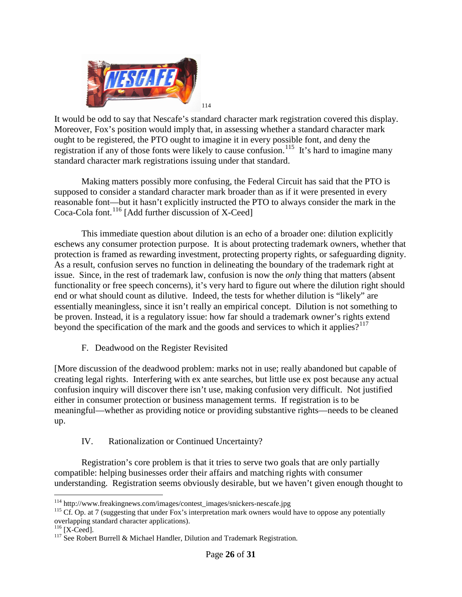

It would be odd to say that Nescafe's standard character mark registration covered this display. Moreover, Fox's position would imply that, in assessing whether a standard character mark ought to be registered, the PTO ought to imagine it in every possible font, and deny the registration if any of those fonts were likely to cause confusion.<sup>[115](#page-25-1)</sup> It's hard to imagine many standard character mark registrations issuing under that standard.

Making matters possibly more confusing, the Federal Circuit has said that the PTO is supposed to consider a standard character mark broader than as if it were presented in every reasonable font—but it hasn't explicitly instructed the PTO to always consider the mark in the Coca-Cola font.<sup>[116](#page-25-2)</sup> [Add further discussion of X-Ceed]

This immediate question about dilution is an echo of a broader one: dilution explicitly eschews any consumer protection purpose. It is about protecting trademark owners, whether that protection is framed as rewarding investment, protecting property rights, or safeguarding dignity. As a result, confusion serves no function in delineating the boundary of the trademark right at issue. Since, in the rest of trademark law, confusion is now the *only* thing that matters (absent functionality or free speech concerns), it's very hard to figure out where the dilution right should end or what should count as dilutive. Indeed, the tests for whether dilution is "likely" are essentially meaningless, since it isn't really an empirical concept. Dilution is not something to be proven. Instead, it is a regulatory issue: how far should a trademark owner's rights extend beyond the specification of the mark and the goods and services to which it applies? $117$ 

F. Deadwood on the Register Revisited

[More discussion of the deadwood problem: marks not in use; really abandoned but capable of creating legal rights. Interfering with ex ante searches, but little use ex post because any actual confusion inquiry will discover there isn't use, making confusion very difficult. Not justified either in consumer protection or business management terms. If registration is to be meaningful—whether as providing notice or providing substantive rights—needs to be cleaned up.

IV. Rationalization or Continued Uncertainty?

Registration's core problem is that it tries to serve two goals that are only partially compatible: helping businesses order their affairs and matching rights with consumer understanding. Registration seems obviously desirable, but we haven't given enough thought to

<span id="page-25-1"></span><span id="page-25-0"></span><sup>&</sup>lt;sup>114</sup> http://www.freakingnews.com/images/contest\_images/snickers-nescafe.jpg<br><sup>115</sup> Cf. Op. at 7 (suggesting that under Fox's interpretation mark owners would have to oppose any potentially overlapping standard character applications).<br><sup>116</sup> [X-Ceed].

<span id="page-25-2"></span>

<span id="page-25-3"></span> $117$  See Robert Burrell & Michael Handler, Dilution and Trademark Registration.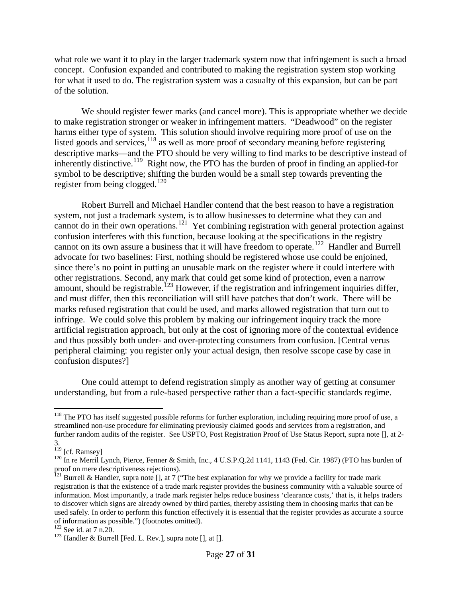what role we want it to play in the larger trademark system now that infringement is such a broad concept. Confusion expanded and contributed to making the registration system stop working for what it used to do. The registration system was a casualty of this expansion, but can be part of the solution.

We should register fewer marks (and cancel more). This is appropriate whether we decide to make registration stronger or weaker in infringement matters. "Deadwood" on the register harms either type of system. This solution should involve requiring more proof of use on the listed goods and services,<sup>[118](#page-26-0)</sup> as well as more proof of secondary meaning before registering descriptive marks—and the PTO should be very willing to find marks to be descriptive instead of inherently distinctive.<sup>[119](#page-26-1)</sup> Right now, the PTO has the burden of proof in finding an applied-for symbol to be descriptive; shifting the burden would be a small step towards preventing the register from being clogged.<sup>[120](#page-26-2)</sup>

Robert Burrell and Michael Handler contend that the best reason to have a registration system, not just a trademark system, is to allow businesses to determine what they can and cannot do in their own operations.<sup>121</sup> Yet combining registration with general protection against confusion interferes with this function, because looking at the specifications in the registry cannot on its own assure a business that it will have freedom to operate.[122](#page-26-4) Handler and Burrell advocate for two baselines: First, nothing should be registered whose use could be enjoined, since there's no point in putting an unusable mark on the register where it could interfere with other registrations. Second, any mark that could get some kind of protection, even a narrow amount, should be registrable.<sup>[123](#page-26-5)</sup> However, if the registration and infringement inquiries differ, and must differ, then this reconciliation will still have patches that don't work. There will be marks refused registration that could be used, and marks allowed registration that turn out to infringe. We could solve this problem by making our infringement inquiry track the more artificial registration approach, but only at the cost of ignoring more of the contextual evidence and thus possibly both under- and over-protecting consumers from confusion. [Central verus peripheral claiming: you register only your actual design, then resolve sscope case by case in confusion disputes?]

One could attempt to defend registration simply as another way of getting at consumer understanding, but from a rule-based perspective rather than a fact-specific standards regime.

<span id="page-26-0"></span><sup>&</sup>lt;sup>118</sup> The PTO has itself suggested possible reforms for further exploration, including requiring more proof of use, a streamlined non-use procedure for eliminating previously claimed goods and services from a registration, and further random audits of the register. See USPTO, Post Registration Proof of Use Status Report, supra note [], at 2-

<span id="page-26-1"></span><sup>3.&</sup>lt;br><sup>119</sup> [cf. Ramsey]

<span id="page-26-2"></span><sup>&</sup>lt;sup>120</sup> In re Merril Lynch, Pierce, Fenner & Smith, Inc., 4 U.S.P.Q.2d 1141, 1143 (Fed. Cir. 1987) (PTO has burden of proof on mere descriptiveness rejections).

<span id="page-26-3"></span><sup>&</sup>lt;sup>121</sup> Burrell & Handler, supra note [], at 7 ("The best explanation for why we provide a facility for trade mark registration is that the existence of a trade mark register provides the business community with a valuable source of information. Most importantly, a trade mark register helps reduce business 'clearance costs,' that is, it helps traders to discover which signs are already owned by third parties, thereby assisting them in choosing marks that can be used safely. In order to perform this function effectively it is essential that the register provides as accurate a source of information as possible.") (footnotes omitted).<br><sup>122</sup> See id. at 7 n.20.<br><sup>123</sup> Handler & Burrell [Fed. L. Rev.], supra note [], at [].

<span id="page-26-4"></span>

<span id="page-26-5"></span>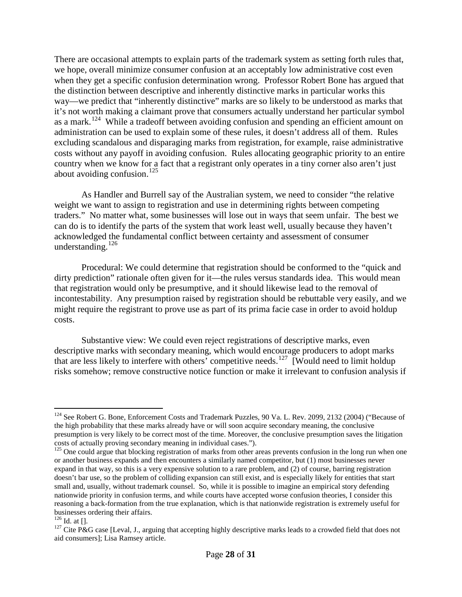There are occasional attempts to explain parts of the trademark system as setting forth rules that, we hope, overall minimize consumer confusion at an acceptably low administrative cost even when they get a specific confusion determination wrong. Professor Robert Bone has argued that the distinction between descriptive and inherently distinctive marks in particular works this way—we predict that "inherently distinctive" marks are so likely to be understood as marks that it's not worth making a claimant prove that consumers actually understand her particular symbol as a mark.<sup>124</sup> While a tradeoff between avoiding confusion and spending an efficient amount on administration can be used to explain some of these rules, it doesn't address all of them. Rules excluding scandalous and disparaging marks from registration, for example, raise administrative costs without any payoff in avoiding confusion. Rules allocating geographic priority to an entire country when we know for a fact that a registrant only operates in a tiny corner also aren't just about avoiding confusion. $^{125}$  $^{125}$  $^{125}$ 

As Handler and Burrell say of the Australian system, we need to consider "the relative weight we want to assign to registration and use in determining rights between competing traders." No matter what, some businesses will lose out in ways that seem unfair. The best we can do is to identify the parts of the system that work least well, usually because they haven't acknowledged the fundamental conflict between certainty and assessment of consumer understanding.<sup>[126](#page-27-2)</sup>

Procedural: We could determine that registration should be conformed to the "quick and dirty prediction" rationale often given for it—the rules versus standards idea. This would mean that registration would only be presumptive, and it should likewise lead to the removal of incontestability. Any presumption raised by registration should be rebuttable very easily, and we might require the registrant to prove use as part of its prima facie case in order to avoid holdup costs.

Substantive view: We could even reject registrations of descriptive marks, even descriptive marks with secondary meaning, which would encourage producers to adopt marks that are less likely to interfere with others' competitive needs.<sup>[127](#page-27-3)</sup> [Would need to limit holdup risks somehow; remove constructive notice function or make it irrelevant to confusion analysis if

<span id="page-27-0"></span><sup>&</sup>lt;sup>124</sup> See Robert G. Bone, Enforcement Costs and Trademark Puzzles, 90 Va. L. Rev. 2099, 2132 (2004) ("Because of the high probability that these marks already have or will soon acquire secondary meaning, the conclusive presumption is very likely to be correct most of the time. Moreover, the conclusive presumption saves the litigation costs of actually proving secondary meaning in individual cases."). <sup>125</sup> One could argue that blocking registration of marks from other areas prevents confusion in the long run when one

<span id="page-27-1"></span>or another business expands and then encounters a similarly named competitor, but (1) most businesses never expand in that way, so this is a very expensive solution to a rare problem, and (2) of course, barring registration doesn't bar use, so the problem of colliding expansion can still exist, and is especially likely for entities that start small and, usually, without trademark counsel. So, while it is possible to imagine an empirical story defending nationwide priority in confusion terms, and while courts have accepted worse confusion theories, I consider this reasoning a back-formation from the true explanation, which is that nationwide registration is extremely useful for businesses ordering their affairs.<br> $^{126}$  Id. at  $\Box$ 

<span id="page-27-3"></span><span id="page-27-2"></span> $127$  Cite P&G case [Leval, J., arguing that accepting highly descriptive marks leads to a crowded field that does not aid consumers]; Lisa Ramsey article.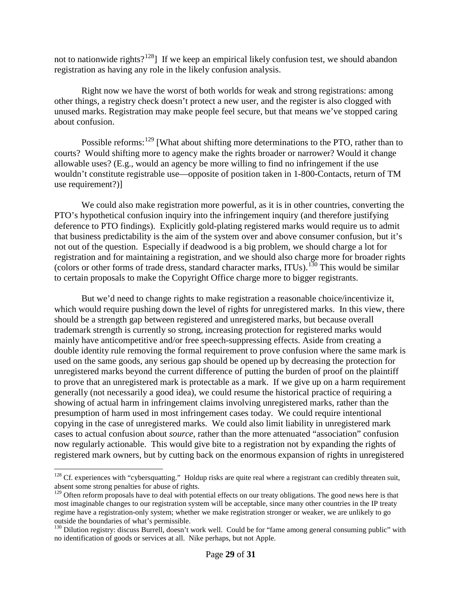not to nationwide rights?<sup>[128](#page-28-0)</sup>] If we keep an empirical likely confusion test, we should abandon registration as having any role in the likely confusion analysis.

Right now we have the worst of both worlds for weak and strong registrations: among other things, a registry check doesn't protect a new user, and the register is also clogged with unused marks. Registration may make people feel secure, but that means we've stopped caring about confusion.

Possible reforms:<sup>[129](#page-28-1)</sup> [What about shifting more determinations to the PTO, rather than to courts? Would shifting more to agency make the rights broader or narrower? Would it change allowable uses? (E.g., would an agency be more willing to find no infringement if the use wouldn't constitute registrable use—opposite of position taken in 1-800-Contacts, return of TM use requirement?)]

We could also make registration more powerful, as it is in other countries, converting the PTO's hypothetical confusion inquiry into the infringement inquiry (and therefore justifying deference to PTO findings). Explicitly gold-plating registered marks would require us to admit that business predictability is the aim of the system over and above consumer confusion, but it's not out of the question. Especially if deadwood is a big problem, we should charge a lot for registration and for maintaining a registration, and we should also charge more for broader rights (colors or other forms of trade dress, standard character marks, ITUs).<sup>[130](#page-28-2)</sup> This would be similar to certain proposals to make the Copyright Office charge more to bigger registrants.

But we'd need to change rights to make registration a reasonable choice/incentivize it, which would require pushing down the level of rights for unregistered marks. In this view, there should be a strength gap between registered and unregistered marks, but because overall trademark strength is currently so strong, increasing protection for registered marks would mainly have anticompetitive and/or free speech-suppressing effects. Aside from creating a double identity rule removing the formal requirement to prove confusion where the same mark is used on the same goods, any serious gap should be opened up by decreasing the protection for unregistered marks beyond the current difference of putting the burden of proof on the plaintiff to prove that an unregistered mark is protectable as a mark. If we give up on a harm requirement generally (not necessarily a good idea), we could resume the historical practice of requiring a showing of actual harm in infringement claims involving unregistered marks, rather than the presumption of harm used in most infringement cases today. We could require intentional copying in the case of unregistered marks. We could also limit liability in unregistered mark cases to actual confusion about *source*, rather than the more attenuated "association" confusion now regularly actionable. This would give bite to a registration not by expanding the rights of registered mark owners, but by cutting back on the enormous expansion of rights in unregistered

<span id="page-28-0"></span> $128$  Cf. experiences with "cybersquatting." Holdup risks are quite real where a registrant can credibly threaten suit, absent some strong penalties for abuse of rights.

<span id="page-28-1"></span><sup>&</sup>lt;sup>129</sup> Often reform proposals have to deal with potential effects on our treaty obligations. The good news here is that most imaginable changes to our registration system will be acceptable, since many other countries in the IP treaty regime have a registration-only system; whether we make registration stronger or weaker, we are unlikely to go outside the boundaries of what's permissible.

<span id="page-28-2"></span><sup>&</sup>lt;sup>130</sup> Dilution registry: discuss Burrell, doesn't work well. Could be for "fame among general consuming public" with no identification of goods or services at all. Nike perhaps, but not Apple.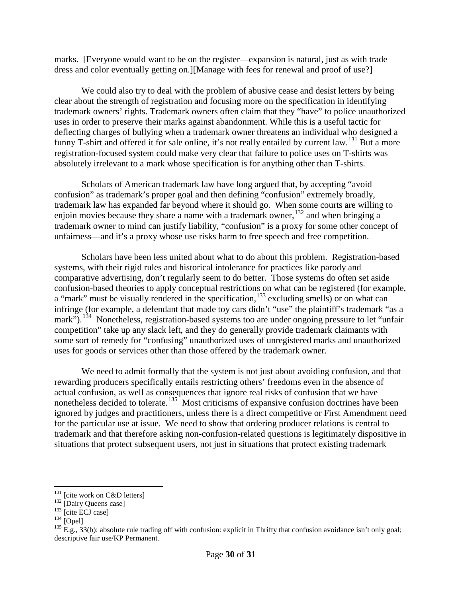marks. [Everyone would want to be on the register—expansion is natural, just as with trade dress and color eventually getting on.][Manage with fees for renewal and proof of use?]

We could also try to deal with the problem of abusive cease and desist letters by being clear about the strength of registration and focusing more on the specification in identifying trademark owners' rights. Trademark owners often claim that they "have" to police unauthorized uses in order to preserve their marks against abandonment. While this is a useful tactic for deflecting charges of bullying when a trademark owner threatens an individual who designed a funny T-shirt and offered it for sale online, it's not really entailed by current law.<sup>[131](#page-29-0)</sup> But a more registration-focused system could make very clear that failure to police uses on T-shirts was absolutely irrelevant to a mark whose specification is for anything other than T-shirts.

Scholars of American trademark law have long argued that, by accepting "avoid confusion" as trademark's proper goal and then defining "confusion" extremely broadly, trademark law has expanded far beyond where it should go. When some courts are willing to enjoin movies because they share a name with a trademark owner,  $\frac{132}{2}$  $\frac{132}{2}$  $\frac{132}{2}$  and when bringing a trademark owner to mind can justify liability, "confusion" is a proxy for some other concept of unfairness—and it's a proxy whose use risks harm to free speech and free competition.

Scholars have been less united about what to do about this problem. Registration-based systems, with their rigid rules and historical intolerance for practices like parody and comparative advertising, don't regularly seem to do better. Those systems do often set aside confusion-based theories to apply conceptual restrictions on what can be registered (for example, a "mark" must be visually rendered in the specification, <sup>[133](#page-29-2)</sup> excluding smells) or on what can infringe (for example, a defendant that made toy cars didn't "use" the plaintiff's trademark "as a mark").<sup>134</sup> Nonetheless, registration-based systems too are under ongoing pressure to let "unfair competition" take up any slack left, and they do generally provide trademark claimants with some sort of remedy for "confusing" unauthorized uses of unregistered marks and unauthorized uses for goods or services other than those offered by the trademark owner.

We need to admit formally that the system is not just about avoiding confusion, and that rewarding producers specifically entails restricting others' freedoms even in the absence of actual confusion, as well as consequences that ignore real risks of confusion that we have nonetheless decided to tolerate.<sup>[135](#page-29-4)</sup> Most criticisms of expansive confusion doctrines have been ignored by judges and practitioners, unless there is a direct competitive or First Amendment need for the particular use at issue. We need to show that ordering producer relations is central to trademark and that therefore asking non-confusion-related questions is legitimately dispositive in situations that protect subsequent users, not just in situations that protect existing trademark

<span id="page-29-4"></span><span id="page-29-3"></span>

<span id="page-29-2"></span>

<span id="page-29-1"></span><span id="page-29-0"></span><sup>&</sup>lt;sup>131</sup> [cite work on C&D letters]<br>
<sup>132</sup> [Dairy Queens case]<br>
<sup>133</sup> [cite ECJ case]<br>
<sup>134</sup> [Opel]<br>
<sup>134</sup> [Opel]<br>
<sup>134</sup> E.g., 33(b): absolute rule trading off with confusion: explicit in Thrifty that confusion avoidance isn descriptive fair use/KP Permanent.